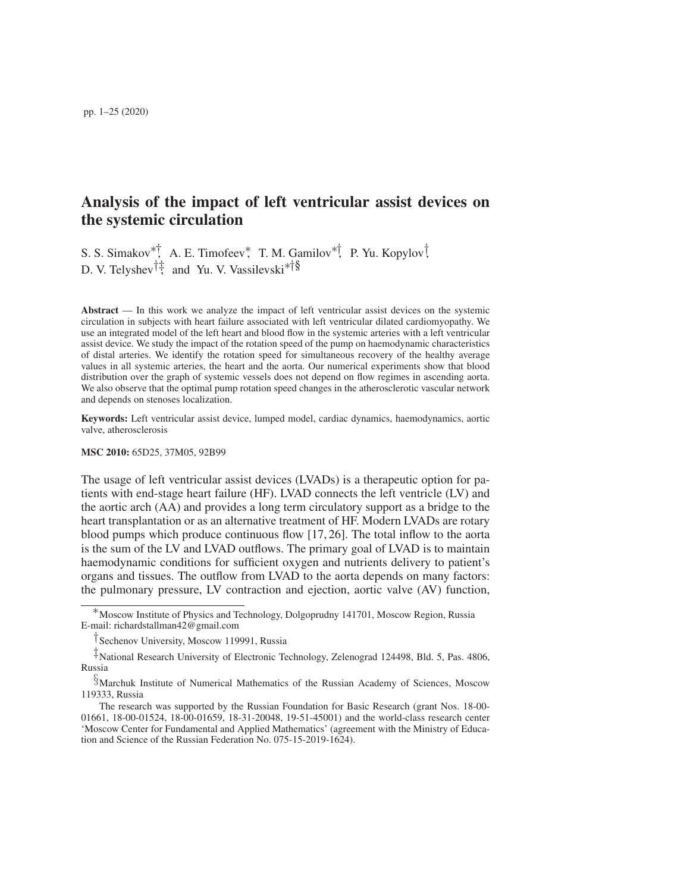# Analysis of the impact of left ventricular assist devices on the systemic circulation

S. S. Simakov<sup>∗†</sup>, A. E. Timofeev<sup>\*</sup>, T. M. Gamilov<sup>\*†</sup>, P. Yu. Kopylov<sup>†</sup>, D. V. Telyshev<sup>†‡</sup>, and Yu. V. Vassilevski<sup>\*†§</sup>

Abstract — In this work we analyze the impact of left ventricular assist devices on the systemic circulation in subjects with heart failure associated with left ventricular dilated cardiomyopathy. We use an integrated model of the left heart and blood flow in the systemic arteries with a left ventricular assist device. We study the impact of the rotation speed of the pump on haemodynamic characteristics of distal arteries. We identify the rotation speed for simultaneous recovery of the healthy average values in all systemic arteries, the heart and the aorta. Our numerical experiments show that blood distribution over the graph of systemic vessels does not depend on flow regimes in ascending aorta. We also observe that the optimal pump rotation speed changes in the atherosclerotic vascular network and depends on stenoses localization.

Keywords: Left ventricular assist device, lumped model, cardiac dynamics, haemodynamics, aortic valve, atherosclerosis

#### MSC 2010: 65D25, 37M05, 92B99

The usage of left ventricular assist devices (LVADs) is a therapeutic option for patients with end-stage heart failure (HF). LVAD connects the left ventricle (LV) and the aortic arch (AA) and provides a long term circulatory support as a bridge to the heart transplantation or as an alternative treatment of HF. Modern LVADs are rotary blood pumps which produce continuous flow [17, 26]. The total inflow to the aorta is the sum of the LV and LVAD outflows. The primary goal of LVAD is to maintain haemodynamic conditions for sufficient oxygen and nutrients delivery to patient's organs and tissues. The outflow from LVAD to the aorta depends on many factors: the pulmonary pressure, LV contraction and ejection, aortic valve (AV) function,

<sup>∗</sup>Moscow Institute of Physics and Technology, Dolgoprudny 141701, Moscow Region, Russia E-mail: richardstallman42@gmail.com

<sup>†</sup>Sechenov University, Moscow 119991, Russia

<sup>‡</sup>National Research University of Electronic Technology, Zelenograd 124498, Bld. 5, Pas. 4806, Russia

<sup>§</sup>Marchuk Institute of Numerical Mathematics of the Russian Academy of Sciences, Moscow 119333, Russia

The research was supported by the Russian Foundation for Basic Research (grant Nos. 18-00- 01661, 18-00-01524, 18-00-01659, 18-31-20048, 19-51-45001) and the world-class research center 'Moscow Center for Fundamental and Applied Mathematics' (agreement with the Ministry of Education and Science of the Russian Federation No. 075-15-2019-1624).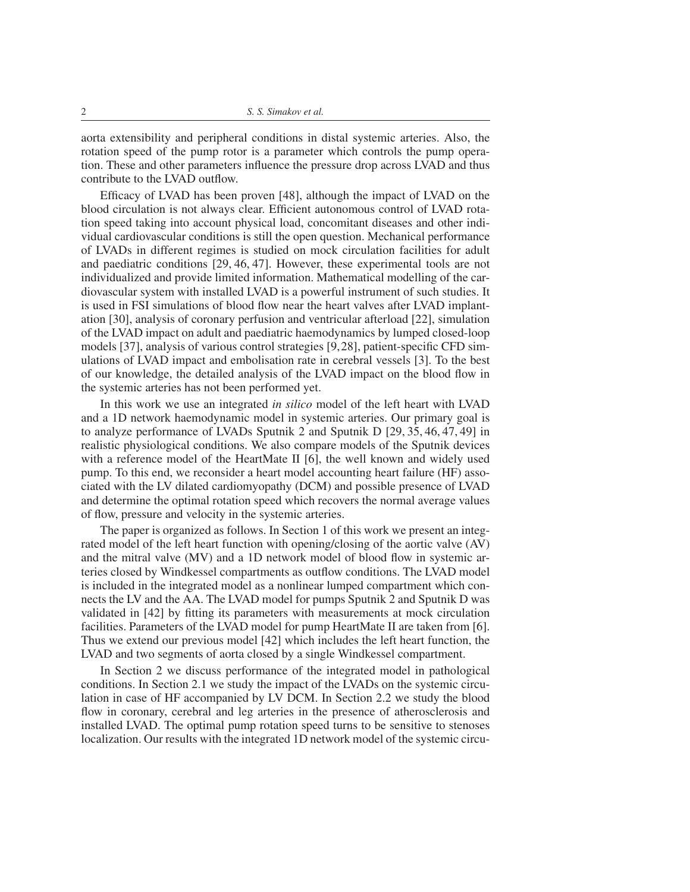aorta extensibility and peripheral conditions in distal systemic arteries. Also, the rotation speed of the pump rotor is a parameter which controls the pump operation. These and other parameters influence the pressure drop across LVAD and thus contribute to the LVAD outflow.

Efficacy of LVAD has been proven [48], although the impact of LVAD on the blood circulation is not always clear. Efficient autonomous control of LVAD rotation speed taking into account physical load, concomitant diseases and other individual cardiovascular conditions is still the open question. Mechanical performance of LVADs in different regimes is studied on mock circulation facilities for adult and paediatric conditions [29, 46, 47]. However, these experimental tools are not individualized and provide limited information. Mathematical modelling of the cardiovascular system with installed LVAD is a powerful instrument of such studies. It is used in FSI simulations of blood flow near the heart valves after LVAD implantation [30], analysis of coronary perfusion and ventricular afterload [22], simulation of the LVAD impact on adult and paediatric haemodynamics by lumped closed-loop models [37], analysis of various control strategies [9,28], patient-specific CFD simulations of LVAD impact and embolisation rate in cerebral vessels [3]. To the best of our knowledge, the detailed analysis of the LVAD impact on the blood flow in the systemic arteries has not been performed yet.

In this work we use an integrated *in silico* model of the left heart with LVAD and a 1D network haemodynamic model in systemic arteries. Our primary goal is to analyze performance of LVADs Sputnik 2 and Sputnik D [29, 35, 46, 47, 49] in realistic physiological conditions. We also compare models of the Sputnik devices with a reference model of the HeartMate II [6], the well known and widely used pump. To this end, we reconsider a heart model accounting heart failure (HF) associated with the LV dilated cardiomyopathy (DCM) and possible presence of LVAD and determine the optimal rotation speed which recovers the normal average values of flow, pressure and velocity in the systemic arteries.

The paper is organized as follows. In Section 1 of this work we present an integrated model of the left heart function with opening/closing of the aortic valve (AV) and the mitral valve (MV) and a 1D network model of blood flow in systemic arteries closed by Windkessel compartments as outflow conditions. The LVAD model is included in the integrated model as a nonlinear lumped compartment which connects the LV and the AA. The LVAD model for pumps Sputnik 2 and Sputnik D was validated in [42] by fitting its parameters with measurements at mock circulation facilities. Parameters of the LVAD model for pump HeartMate II are taken from [6]. Thus we extend our previous model [42] which includes the left heart function, the LVAD and two segments of aorta closed by a single Windkessel compartment.

In Section 2 we discuss performance of the integrated model in pathological conditions. In Section 2.1 we study the impact of the LVADs on the systemic circulation in case of HF accompanied by LV DCM. In Section 2.2 we study the blood flow in coronary, cerebral and leg arteries in the presence of atherosclerosis and installed LVAD. The optimal pump rotation speed turns to be sensitive to stenoses localization. Our results with the integrated 1D network model of the systemic circu-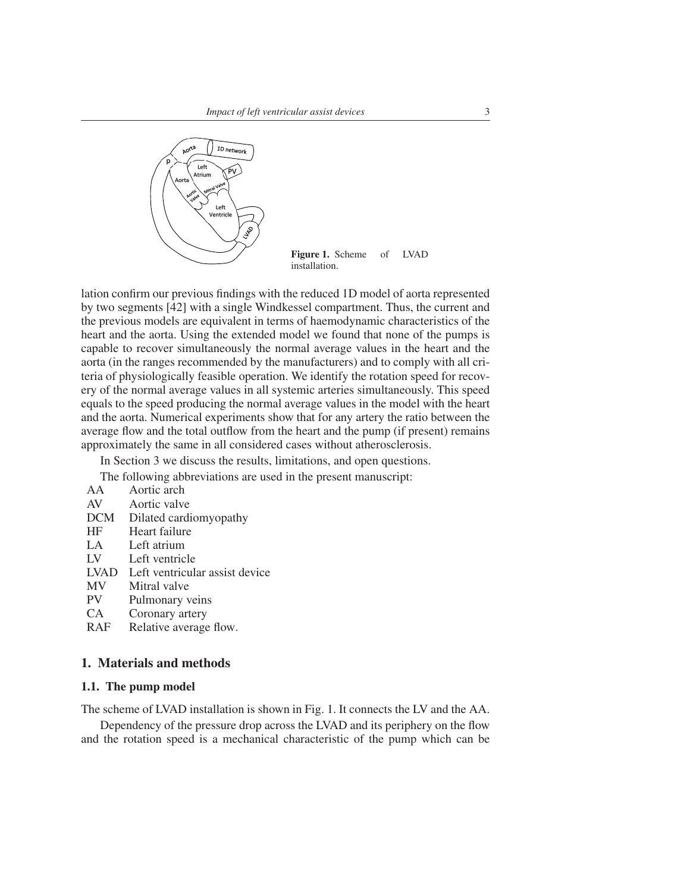

Figure 1. Scheme of LVAD installation.

lation confirm our previous findings with the reduced 1D model of aorta represented by two segments [42] with a single Windkessel compartment. Thus, the current and the previous models are equivalent in terms of haemodynamic characteristics of the heart and the aorta. Using the extended model we found that none of the pumps is capable to recover simultaneously the normal average values in the heart and the aorta (in the ranges recommended by the manufacturers) and to comply with all criteria of physiologically feasible operation. We identify the rotation speed for recovery of the normal average values in all systemic arteries simultaneously. This speed equals to the speed producing the normal average values in the model with the heart and the aorta. Numerical experiments show that for any artery the ratio between the average flow and the total outflow from the heart and the pump (if present) remains approximately the same in all considered cases without atherosclerosis.

In Section 3 we discuss the results, limitations, and open questions.

The following abbreviations are used in the present manuscript:

| Aortic arch                    |
|--------------------------------|
| Aortic valve                   |
| Dilated cardiomy opathy        |
| Heart failure                  |
| Left atrium                    |
| Left ventricle                 |
| Left ventricular assist device |
| Mitral valve                   |
| Pulmonary veins                |
| Coronary artery                |
| Relative average flow.         |
|                                |

# 1. Materials and methods

## 1.1. The pump model

The scheme of LVAD installation is shown in Fig. 1. It connects the LV and the AA.

Dependency of the pressure drop across the LVAD and its periphery on the flow and the rotation speed is a mechanical characteristic of the pump which can be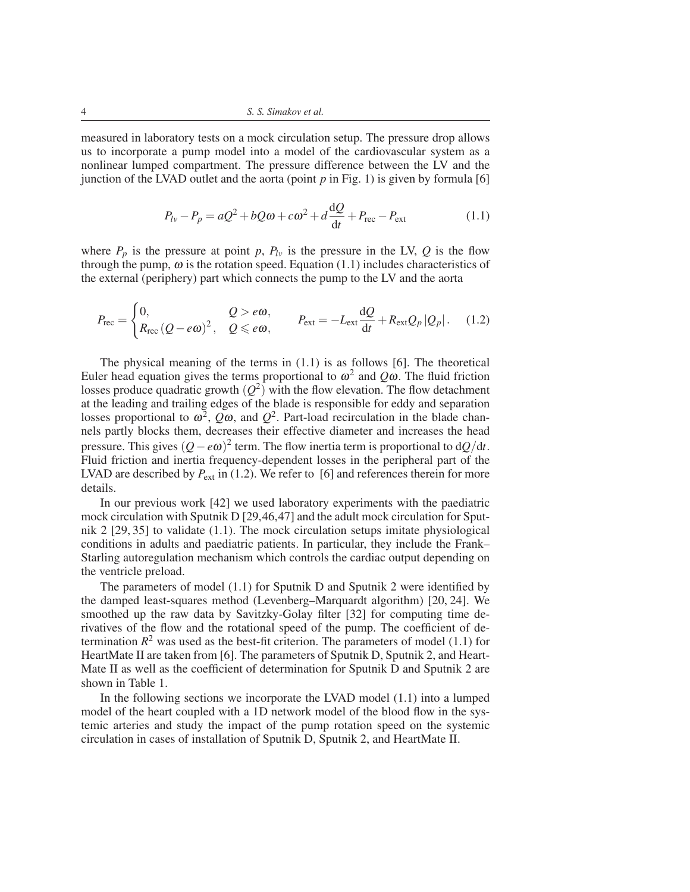4 *S. S. Simakov et al.*

measured in laboratory tests on a mock circulation setup. The pressure drop allows us to incorporate a pump model into a model of the cardiovascular system as a nonlinear lumped compartment. The pressure difference between the LV and the junction of the LVAD outlet and the aorta (point  $p$  in Fig. 1) is given by formula [6]

$$
P_{lv} - P_p = aQ^2 + bQ\omega + c\omega^2 + d\frac{dQ}{dt} + P_{\text{rec}} - P_{\text{ext}}
$$
 (1.1)

where  $P_p$  is the pressure at point  $p$ ,  $P_{l}$  is the pressure in the LV,  $Q$  is the flow through the pump,  $\omega$  is the rotation speed. Equation (1.1) includes characteristics of the external (periphery) part which connects the pump to the LV and the aorta

$$
P_{\text{rec}} = \begin{cases} 0, & Q > e\omega, \\ R_{\text{rec}}(Q - e\omega)^2, & Q \leq e\omega, \end{cases} \qquad P_{\text{ext}} = -L_{\text{ext}}\frac{dQ}{dt} + R_{\text{ext}}Q_p|Q_p|. \quad (1.2)
$$

The physical meaning of the terms in (1.1) is as follows [6]. The theoretical Euler head equation gives the terms proportional to  $\omega^2$  and  $Q\omega$ . The fluid friction losses produce quadratic growth  $(Q^2)$  with the flow elevation. The flow detachment at the leading and trailing edges of the blade is responsible for eddy and separation losses proportional to  $\omega^2$ ,  $Q\omega$ , and  $Q^2$ . Part-load recirculation in the blade channels partly blocks them, decreases their effective diameter and increases the head pressure. This gives  $(Q - e\omega)^2$  term. The flow inertia term is proportional to d $Q/dt$ . Fluid friction and inertia frequency-dependent losses in the peripheral part of the LVAD are described by  $P_{ext}$  in (1.2). We refer to [6] and references therein for more details.

In our previous work [42] we used laboratory experiments with the paediatric mock circulation with Sputnik D [29,46,47] and the adult mock circulation for Sputnik 2 [29, 35] to validate (1.1). The mock circulation setups imitate physiological conditions in adults and paediatric patients. In particular, they include the Frank– Starling autoregulation mechanism which controls the cardiac output depending on the ventricle preload.

The parameters of model (1.1) for Sputnik D and Sputnik 2 were identified by the damped least-squares method (Levenberg–Marquardt algorithm) [20, 24]. We smoothed up the raw data by Savitzky-Golay filter [32] for computing time derivatives of the flow and the rotational speed of the pump. The coefficient of determination  $R^2$  was used as the best-fit criterion. The parameters of model (1.1) for HeartMate II are taken from [6]. The parameters of Sputnik D, Sputnik 2, and Heart-Mate II as well as the coefficient of determination for Sputnik D and Sputnik 2 are shown in Table 1.

In the following sections we incorporate the LVAD model  $(1.1)$  into a lumped model of the heart coupled with a 1D network model of the blood flow in the systemic arteries and study the impact of the pump rotation speed on the systemic circulation in cases of installation of Sputnik D, Sputnik 2, and HeartMate II.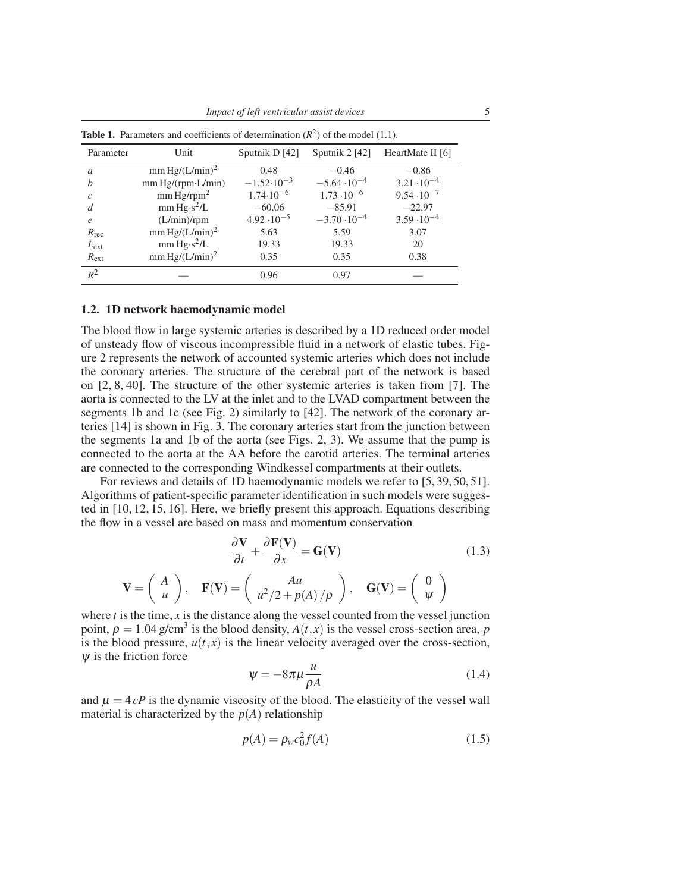| Parameter        | Unit                         | Sputnik D [42]        | Sputnik $2$ [42]      | HeartMate II [6]     |
|------------------|------------------------------|-----------------------|-----------------------|----------------------|
| $\alpha$         | $mm Hg/(L/min)^2$            | 0.48                  | $-0.46$               | $-0.86$              |
| h                | mm Hg/(rpm·L/min)            | $-1.52 \cdot 10^{-3}$ | $-5.64 \cdot 10^{-4}$ | $3.21 \cdot 10^{-4}$ |
| $\mathcal{C}$    | $mm$ Hg/rpm <sup>2</sup>     | $1.74 \cdot 10^{-6}$  | $1.73 \cdot 10^{-6}$  | $9.54 \cdot 10^{-7}$ |
| $\overline{d}$   | $mm\,\mathrm{Hg\cdot s^2/L}$ | $-60.06$              | $-85.91$              | $-22.97$             |
| $\epsilon$       | (L/min)/rpm                  | $4.92 \cdot 10^{-5}$  | $-3.70 \cdot 10^{-4}$ | $3.59 \cdot 10^{-4}$ |
| $R_{\text{rec}}$ | $mm Hg/(L/min)^2$            | 5.63                  | 5.59                  | 3.07                 |
| $L_{\text{ext}}$ | $mm\,\mathrm{Hg\cdot s^2/L}$ | 19.33                 | 19.33                 | 20                   |
| $R_{\rm ext}$    | $mm Hg/(L/min)^2$            | 0.35                  | 0.35                  | 0.38                 |
| $R^2$            |                              | 0.96                  | 0.97                  |                      |

**Table 1.** Parameters and coefficients of determination  $(R^2)$  of the model (1.1).

### 1.2. 1D network haemodynamic model

The blood flow in large systemic arteries is described by a 1D reduced order model of unsteady flow of viscous incompressible fluid in a network of elastic tubes. Figure 2 represents the network of accounted systemic arteries which does not include the coronary arteries. The structure of the cerebral part of the network is based on [2, 8, 40]. The structure of the other systemic arteries is taken from [7]. The aorta is connected to the LV at the inlet and to the LVAD compartment between the segments 1b and 1c (see Fig. 2) similarly to [42]. The network of the coronary arteries [14] is shown in Fig. 3. The coronary arteries start from the junction between the segments 1a and 1b of the aorta (see Figs. 2, 3). We assume that the pump is connected to the aorta at the AA before the carotid arteries. The terminal arteries are connected to the corresponding Windkessel compartments at their outlets.

For reviews and details of 1D haemodynamic models we refer to [5, 39, 50, 51]. Algorithms of patient-specific parameter identification in such models were suggested in [10, 12, 15, 16]. Here, we briefly present this approach. Equations describing the flow in a vessel are based on mass and momentum conservation

$$
\frac{\partial \mathbf{V}}{\partial t} + \frac{\partial \mathbf{F}(\mathbf{V})}{\partial x} = \mathbf{G}(\mathbf{V})
$$
 (1.3)

$$
\mathbf{V} = \left(\begin{array}{c} A \\ u \end{array}\right), \quad \mathbf{F}(\mathbf{V}) = \left(\begin{array}{c} Au \\ u^2/2 + p(A)/\rho \end{array}\right), \quad \mathbf{G}(\mathbf{V}) = \left(\begin{array}{c} 0 \\ \psi \end{array}\right)
$$

where  $t$  is the time,  $x$  is the distance along the vessel counted from the vessel junction point,  $\rho = 1.04$  g/cm<sup>3</sup> is the blood density,  $A(t, x)$  is the vessel cross-section area, *p* is the blood pressure,  $u(t, x)$  is the linear velocity averaged over the cross-section,  $\psi$  is the friction force

$$
\psi = -8\pi\mu \frac{u}{\rho A} \tag{1.4}
$$

and  $\mu = 4cP$  is the dynamic viscosity of the blood. The elasticity of the vessel wall material is characterized by the  $p(A)$  relationship

$$
p(A) = \rho_w c_0^2 f(A) \tag{1.5}
$$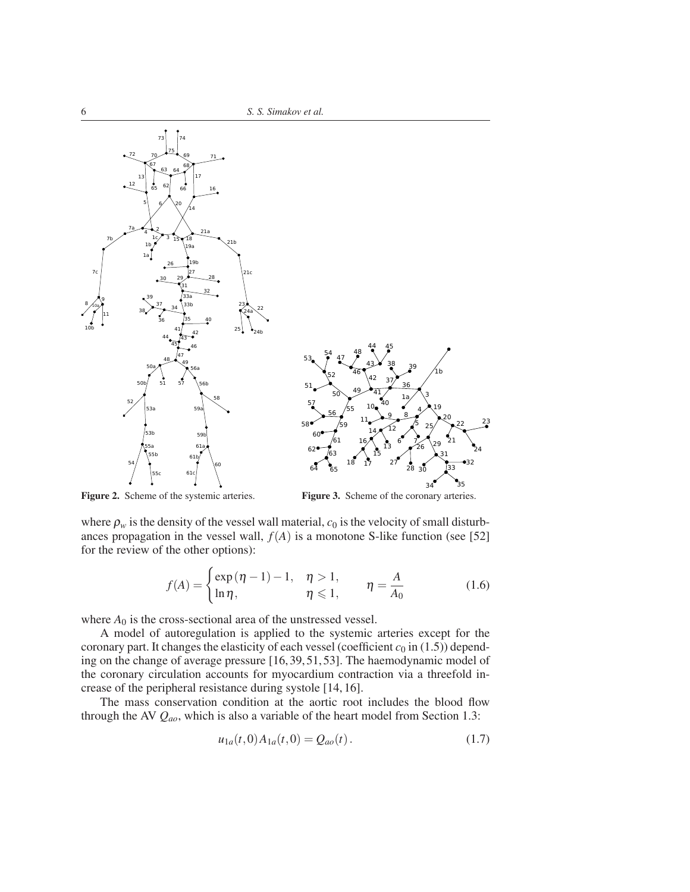

Figure 2. Scheme of the systemic arteries.

Figure 3. Scheme of the coronary arteries.

where  $\rho_w$  is the density of the vessel wall material,  $c_0$  is the velocity of small disturbances propagation in the vessel wall,  $f(A)$  is a monotone S-like function (see [52] for the review of the other options):

$$
f(A) = \begin{cases} \exp(\eta - 1) - 1, & \eta > 1, \\ \ln \eta, & \eta \le 1, \end{cases} \qquad \eta = \frac{A}{A_0}
$$
 (1.6)

where  $A_0$  is the cross-sectional area of the unstressed vessel.

A model of autoregulation is applied to the systemic arteries except for the coronary part. It changes the elasticity of each vessel (coefficient  $c_0$  in (1.5)) depending on the change of average pressure [16, 39, 51, 53]. The haemodynamic model of the coronary circulation accounts for myocardium contraction via a threefold increase of the peripheral resistance during systole [14, 16].

The mass conservation condition at the aortic root includes the blood flow through the AV *Qao*, which is also a variable of the heart model from Section 1.3:

$$
u_{1a}(t,0)A_{1a}(t,0) = Q_{ao}(t).
$$
 (1.7)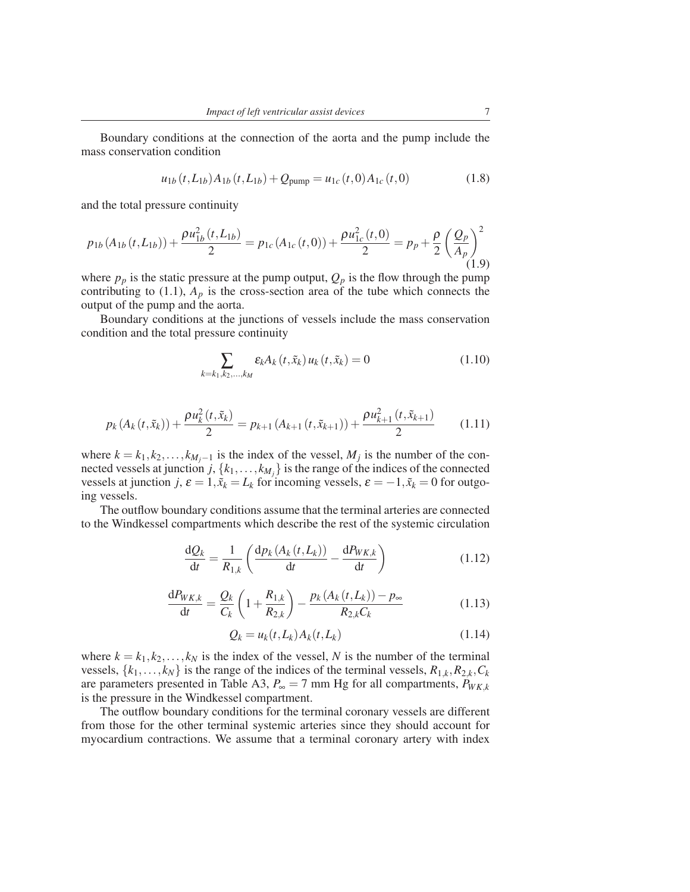Boundary conditions at the connection of the aorta and the pump include the mass conservation condition

$$
u_{1b}(t, L_{1b})A_{1b}(t, L_{1b}) + Q_{\text{pump}} = u_{1c}(t, 0)A_{1c}(t, 0)
$$
\n(1.8)

and the total pressure continuity

$$
p_{1b}(A_{1b}(t,L_{1b})) + \frac{\rho u_{1b}^2(t,L_{1b})}{2} = p_{1c}(A_{1c}(t,0)) + \frac{\rho u_{1c}^2(t,0)}{2} = p_p + \frac{\rho}{2} \left(\frac{Q_p}{A_p}\right)^2
$$
\n(1.9)

where  $p_p$  is the static pressure at the pump output,  $Q_p$  is the flow through the pump contributing to (1.1),  $A_p$  is the cross-section area of the tube which connects the output of the pump and the aorta.

Boundary conditions at the junctions of vessels include the mass conservation condition and the total pressure continuity

$$
\sum_{k=k_1,k_2,...,k_M} \varepsilon_k A_k(t,\tilde{x}_k) u_k(t,\tilde{x}_k) = 0
$$
\n(1.10)

$$
p_k(A_k(t, \tilde{x}_k)) + \frac{\rho u_k^2(t, \tilde{x}_k)}{2} = p_{k+1}(A_{k+1}(t, \tilde{x}_{k+1})) + \frac{\rho u_{k+1}^2(t, \tilde{x}_{k+1})}{2}
$$
(1.11)

where  $k = k_1, k_2, \ldots, k_{M_j-1}$  is the index of the vessel,  $M_j$  is the number of the connected vessels at junction  $j$ ,  $\{k_1, \ldots, k_{M_j}\}$  is the range of the indices of the connected vessels at junction *j*,  $\varepsilon = 1$ ,  $\tilde{x}_k = L_k$  for incoming vessels,  $\varepsilon = -1$ ,  $\tilde{x}_k = 0$  for outgoing vessels.

The outflow boundary conditions assume that the terminal arteries are connected to the Windkessel compartments which describe the rest of the systemic circulation

$$
\frac{\mathrm{d}Q_k}{\mathrm{d}t} = \frac{1}{R_{1,k}} \left( \frac{\mathrm{d}p_k \left( A_k \left( t, L_k \right) \right)}{\mathrm{d}t} - \frac{\mathrm{d}P_{WK,k}}{\mathrm{d}t} \right) \tag{1.12}
$$

$$
\frac{dP_{WK,k}}{dt} = \frac{Q_k}{C_k} \left( 1 + \frac{R_{1,k}}{R_{2,k}} \right) - \frac{p_k \left( A_k \left( t, L_k \right) \right) - p_{\infty}}{R_{2,k} C_k} \tag{1.13}
$$

$$
Q_k = u_k(t, L_k) A_k(t, L_k)
$$
\n
$$
(1.14)
$$

where  $k = k_1, k_2, \ldots, k_N$  is the index of the vessel, N is the number of the terminal vessels,  $\{k_1, \ldots, k_N\}$  is the range of the indices of the terminal vessels,  $R_{1,k}, R_{2,k}, C_k$ are parameters presented in Table A3,  $P_{\infty} = 7$  mm Hg for all compartments,  $P_{WK,k}$ is the pressure in the Windkessel compartment.

The outflow boundary conditions for the terminal coronary vessels are different from those for the other terminal systemic arteries since they should account for myocardium contractions. We assume that a terminal coronary artery with index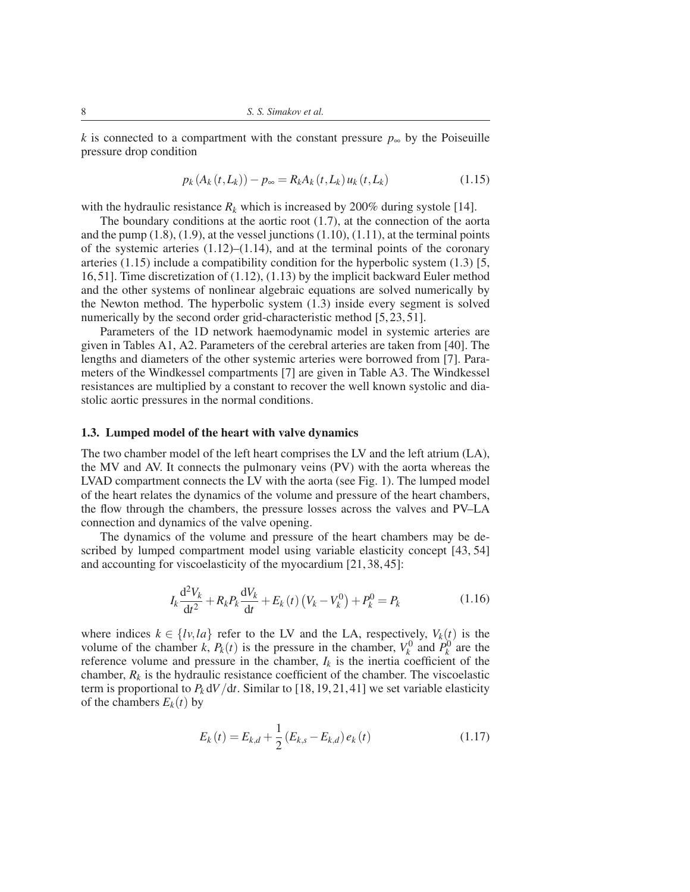*k* is connected to a compartment with the constant pressure  $p_{\infty}$  by the Poiseuille pressure drop condition

$$
p_{k}(A_{k}(t, L_{k})) - p_{\infty} = R_{k}A_{k}(t, L_{k})u_{k}(t, L_{k})
$$
\n(1.15)

with the hydraulic resistance  $R_k$  which is increased by 200% during systole [14].

The boundary conditions at the aortic root (1.7), at the connection of the aorta and the pump  $(1.8)$ ,  $(1.9)$ , at the vessel junctions  $(1.10)$ ,  $(1.11)$ , at the terminal points of the systemic arteries  $(1.12)$ – $(1.14)$ , and at the terminal points of the coronary arteries (1.15) include a compatibility condition for the hyperbolic system (1.3) [5, 16, 51]. Time discretization of (1.12), (1.13) by the implicit backward Euler method and the other systems of nonlinear algebraic equations are solved numerically by the Newton method. The hyperbolic system (1.3) inside every segment is solved numerically by the second order grid-characteristic method [5, 23, 51].

Parameters of the 1D network haemodynamic model in systemic arteries are given in Tables A1, A2. Parameters of the cerebral arteries are taken from [40]. The lengths and diameters of the other systemic arteries were borrowed from [7]. Parameters of the Windkessel compartments [7] are given in Table A3. The Windkessel resistances are multiplied by a constant to recover the well known systolic and diastolic aortic pressures in the normal conditions.

#### 1.3. Lumped model of the heart with valve dynamics

The two chamber model of the left heart comprises the LV and the left atrium (LA), the MV and AV. It connects the pulmonary veins (PV) with the aorta whereas the LVAD compartment connects the LV with the aorta (see Fig. 1). The lumped model of the heart relates the dynamics of the volume and pressure of the heart chambers, the flow through the chambers, the pressure losses across the valves and PV–LA connection and dynamics of the valve opening.

The dynamics of the volume and pressure of the heart chambers may be described by lumped compartment model using variable elasticity concept [43, 54] and accounting for viscoelasticity of the myocardium [21, 38, 45]:

$$
I_k \frac{d^2 V_k}{dt^2} + R_k P_k \frac{dV_k}{dt} + E_k(t) (V_k - V_k^0) + P_k^0 = P_k
$$
 (1.16)

where indices  $k \in \{lv, la\}$  refer to the LV and the LA, respectively,  $V_k(t)$  is the volume of the chamber *k*,  $P_k(t)$  is the pressure in the chamber,  $V_k^0$  and  $P_k^0$  are the reference volume and pressure in the chamber,  $I_k$  is the inertia coefficient of the chamber,  $R_k$  is the hydraulic resistance coefficient of the chamber. The viscoelastic term is proportional to  $P_k dV/dt$ . Similar to [18, 19, 21, 41] we set variable elasticity of the chambers  $E_k(t)$  by

$$
E_k(t) = E_{k,d} + \frac{1}{2} \left( E_{k,s} - E_{k,d} \right) e_k(t)
$$
\n(1.17)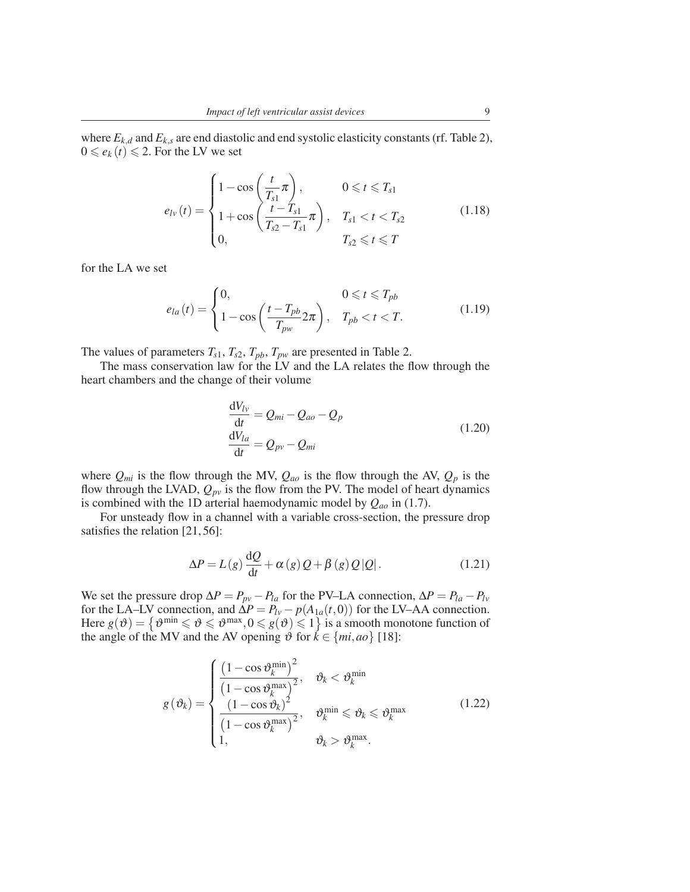where  $E_{k,d}$  and  $E_{k,s}$  are end diastolic and end systolic elasticity constants (rf. Table 2),  $0 \leq e_k(t) \leq 2$ . For the LV we set

$$
e_{lv}(t) = \begin{cases} 1 - \cos\left(\frac{t}{T_{s1}}\pi\right), & 0 \leq t \leq T_{s1} \\ 1 + \cos\left(\frac{t - T_{s1}}{T_{s2} - T_{s1}}\pi\right), & T_{s1} < t < T_{s2} \\ 0, & T_{s2} \leq t \leq T \end{cases}
$$
(1.18)

for the LA we set

$$
e_{la}(t) = \begin{cases} 0, & 0 \le t \le T_{pb} \\ 1 - \cos\left(\frac{t - T_{pb}}{T_{pw}} 2\pi\right), & T_{pb} < t < T. \end{cases}
$$
(1.19)

The values of parameters  $T_{s1}$ ,  $T_{s2}$ ,  $T_{pb}$ ,  $T_{pw}$  are presented in Table 2.

The mass conservation law for the LV and the LA relates the flow through the heart chambers and the change of their volume

$$
\frac{dV_{lv}}{dt} = Q_{mi} - Q_{ao} - Q_p
$$
  
\n
$$
\frac{dV_{la}}{dt} = Q_{pv} - Q_{mi}
$$
\n(1.20)

where  $Q_{mi}$  is the flow through the MV,  $Q_{ao}$  is the flow through the AV,  $Q_p$  is the flow through the LVAD,  $Q_{pv}$  is the flow from the PV. The model of heart dynamics is combined with the 1D arterial haemodynamic model by *Qao* in (1.7).

For unsteady flow in a channel with a variable cross-section, the pressure drop satisfies the relation [21, 56]:

$$
\Delta P = L(g)\frac{dQ}{dt} + \alpha(g)Q + \beta(g)Q|Q|.
$$
 (1.21)

We set the pressure drop  $\Delta P = P_{pv} - P_{la}$  for the PV–LA connection,  $\Delta P = P_{la} - P_{lv}$ for the LA–LV connection, and  $\Delta P = P_{lv} - p(A_{1a}(t,0))$  for the LV–AA connection. Here  $g(\vartheta) = \{ \vartheta^{\min} \leq \vartheta \leq \vartheta^{\max}, 0 \leq g(\vartheta) \leq 1 \}$  is a smooth monotone function of the angle of the MV and the AV opening  $\vartheta$  for  $\hat{k} \in \{mi, ao\}$  [18]:

$$
g(\vartheta_k) = \begin{cases} \frac{\left(1 - \cos \vartheta_k^{\min}\right)^2}{\left(1 - \cos \vartheta_k^{\max}\right)^2}, & \vartheta_k < \vartheta_k^{\min} \\ \frac{\left(1 - \cos \vartheta_k\right)^2}{\left(1 - \cos \vartheta_k^{\max}\right)^2}, & \vartheta_k^{\min} \leq \vartheta_k \leq \vartheta_k^{\max} \\ 1, & \vartheta_k > \vartheta_k^{\max} .\end{cases}
$$
(1.22)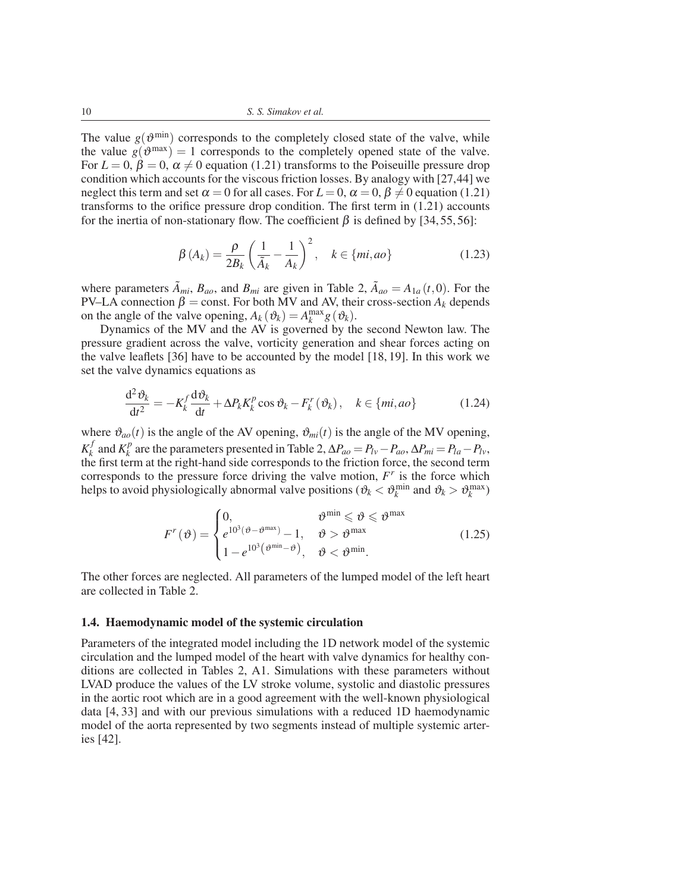The value  $g(\theta^{\min})$  corresponds to the completely closed state of the valve, while the value  $g(\theta^{\text{max}}) = 1$  corresponds to the completely opened state of the valve. For  $L = 0$ ,  $\beta = 0$ ,  $\alpha \neq 0$  equation (1.21) transforms to the Poiseuille pressure drop condition which accounts for the viscous friction losses. By analogy with [27,44] we neglect this term and set  $\alpha = 0$  for all cases. For  $L = 0$ ,  $\alpha = 0$ ,  $\beta \neq 0$  equation (1.21) transforms to the orifice pressure drop condition. The first term in (1.21) accounts for the inertia of non-stationary flow. The coefficient  $\beta$  is defined by [34, 55, 56]:

$$
\beta(A_k) = \frac{\rho}{2B_k} \left( \frac{1}{\tilde{A}_k} - \frac{1}{A_k} \right)^2, \quad k \in \{mi, ao\}
$$
\n(1.23)

where parameters  $\tilde{A}_{mi}$ ,  $B_{ao}$ , and  $B_{mi}$  are given in Table 2,  $\tilde{A}_{ao} = A_{1a}(t,0)$ . For the PV–LA connection  $β = const.$  For both MV and AV, their cross-section  $A_k$  depends on the angle of the valve opening,  $A_k(\theta_k) = A_k^{\max} g(\theta_k)$ .

Dynamics of the MV and the AV is governed by the second Newton law. The pressure gradient across the valve, vorticity generation and shear forces acting on the valve leaflets [36] have to be accounted by the model [18, 19]. In this work we set the valve dynamics equations as

$$
\frac{d^2 \vartheta_k}{dt^2} = -K_k^f \frac{d \vartheta_k}{dt} + \Delta P_k K_k^p \cos \vartheta_k - F_k^r(\vartheta_k), \quad k \in \{mi, ao\}
$$
 (1.24)

where  $\vartheta_{ao}(t)$  is the angle of the AV opening,  $\vartheta_{mi}(t)$  is the angle of the MV opening,  $K^f_k$  $\binom{f}{k}$  and  $K_k^p$  $R_k^P$  are the parameters presented in Table 2,  $\Delta P_{ao} = P_{lv} - P_{ao}$ ,  $\Delta P_{mi} = P_{la} - P_{lv}$ , the first term at the right-hand side corresponds to the friction force, the second term corresponds to the pressure force driving the valve motion,  $F<sup>r</sup>$  is the force which helps to avoid physiologically abnormal valve positions ( $\theta_k < \theta_k^{\min}$  and  $\theta_k > \theta_k^{\max}$ )

$$
F^{r}(\vartheta) = \begin{cases} 0, & \vartheta^{\min} \leq \vartheta \leq \vartheta^{\max} \\ e^{10^{3}(\vartheta - \vartheta^{\max})} - 1, & \vartheta > \vartheta^{\max} \\ 1 - e^{10^{3}(\vartheta^{\min} - \vartheta)}, & \vartheta < \vartheta^{\min}. \end{cases}
$$
(1.25)

The other forces are neglected. All parameters of the lumped model of the left heart are collected in Table 2.

#### 1.4. Haemodynamic model of the systemic circulation

Parameters of the integrated model including the 1D network model of the systemic circulation and the lumped model of the heart with valve dynamics for healthy conditions are collected in Tables 2, A1. Simulations with these parameters without LVAD produce the values of the LV stroke volume, systolic and diastolic pressures in the aortic root which are in a good agreement with the well-known physiological data [4, 33] and with our previous simulations with a reduced 1D haemodynamic model of the aorta represented by two segments instead of multiple systemic arteries [42].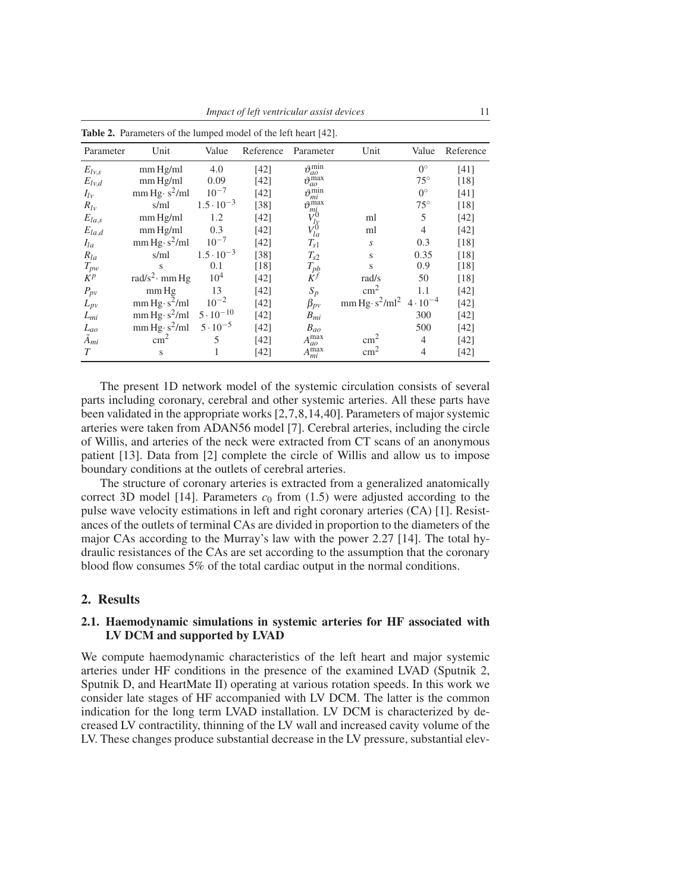| Parameter                 | Unit                             | Value               | Reference | Parameter                       | Unit                                  | Value             | Reference |
|---------------------------|----------------------------------|---------------------|-----------|---------------------------------|---------------------------------------|-------------------|-----------|
| $E_{l v,s}$               | mm Hg/ml                         | 4.0                 | $[42]$    | $\vartheta_{ao}^{\min}$         |                                       | $0^{\circ}$       | [41]      |
| $E_{l$ <sub>v</sub> , $d$ | mm Hg/ml                         | 0.09                | [42]      | $\vartheta_{ao}$ <sup>max</sup> |                                       | $75^{\circ}$      | $[18]$    |
| $I_{l\nu}$                | mm Hg·s <sup>2</sup> /ml         | $10^{-7}$           | $[42]$    | $\vartheta_{mi}^{\min}$         |                                       | $0^{\circ}$       | $[41]$    |
| $R_{l\nu}$                | s/ml                             | $1.5 \cdot 10^{-3}$ | $[38]$    | $v^{\max}$<br>mı                |                                       | $75^\circ$        | [18]      |
| $E_{la,s}$                | mm Hg/ml                         | 1.2                 | [42]      | $V_{ly}^0$                      | ml                                    | 5                 | $[42]$    |
| $E_{la,d}$                | mm Hg/ml                         | 0.3                 | [42]      | $V_{la}^0$                      | ml                                    | $\overline{4}$    | $[42]$    |
| $I_{la}$                  | mm Hg·s <sup>2</sup> /ml         | $10^{-7}$           | $[42]$    | $T_{s1}$                        | S                                     | 0.3               | [18]      |
| $R_{la}$                  | s/ml                             | $1.5 \cdot 10^{-3}$ | $[38]$    | $T_{s2}$                        | S                                     | 0.35              | [18]      |
| $T_{pw}$                  | S                                | 0.1                 | [18]      | $T_{pb}$                        | S                                     | 0.9               | [18]      |
| $K^p$                     | rad/s <sup>2</sup> $\cdot$ mm Hg | $10^{4}$            | $[42]$    | $\dot{K}^f$                     | rad/s                                 | 50                | $[18]$    |
| $P_{pv}$                  | mm Hg                            | 13                  | $[42]$    | $S_p$                           | $\text{cm}^2$                         | 1.1               | $[42]$    |
| $L_{pv}$                  | mm Hg·s <sup>2</sup> /ml         | $10^{-2}$           | $[42]$    | $\beta_{pv}$                    | mm Hg·s <sup>2</sup> /ml <sup>2</sup> | $4 \cdot 10^{-4}$ | $[42]$    |
| $L_{mi}$                  | mm Hg·s <sup>2</sup> /ml         | $5 \cdot 10^{-10}$  | [42]      | $B_{mi}$                        |                                       | 300               | $[42]$    |
| $L_{ao}$                  | mm Hg·s <sup>2</sup> /ml         | $5 \cdot 10^{-5}$   | $[42]$    | $B_{ao}$                        |                                       | 500               | $[42]$    |
| $\tilde{A}_{mi}$          | $\text{cm}^2$                    | 5                   | [42]      | $A_{ao}^{\max}$                 | $\text{cm}^2$                         | $\overline{4}$    | $[42]$    |
| $\tau$                    | S                                |                     | $[42]$    | $A_{mi}^{\max}$                 | $\rm cm^2$                            | 4                 | [42]      |

Table 2. Parameters of the lumped model of the left heart [42].

The present 1D network model of the systemic circulation consists of several parts including coronary, cerebral and other systemic arteries. All these parts have been validated in the appropriate works [2,7,8,14,40]. Parameters of major systemic arteries were taken from ADAN56 model [7]. Cerebral arteries, including the circle of Willis, and arteries of the neck were extracted from CT scans of an anonymous patient [13]. Data from [2] complete the circle of Willis and allow us to impose boundary conditions at the outlets of cerebral arteries.

The structure of coronary arteries is extracted from a generalized anatomically correct 3D model [14]. Parameters  $c_0$  from (1.5) were adjusted according to the pulse wave velocity estimations in left and right coronary arteries (CA) [1]. Resistances of the outlets of terminal CAs are divided in proportion to the diameters of the major CAs according to the Murray's law with the power 2.27 [14]. The total hydraulic resistances of the CAs are set according to the assumption that the coronary blood flow consumes 5% of the total cardiac output in the normal conditions.

## 2. Results

## 2.1. Haemodynamic simulations in systemic arteries for HF associated with LV DCM and supported by LVAD

We compute haemodynamic characteristics of the left heart and major systemic arteries under HF conditions in the presence of the examined LVAD (Sputnik 2, Sputnik D, and HeartMate II) operating at various rotation speeds. In this work we consider late stages of HF accompanied with LV DCM. The latter is the common indication for the long term LVAD installation. LV DCM is characterized by decreased LV contractility, thinning of the LV wall and increased cavity volume of the LV. These changes produce substantial decrease in the LV pressure, substantial elev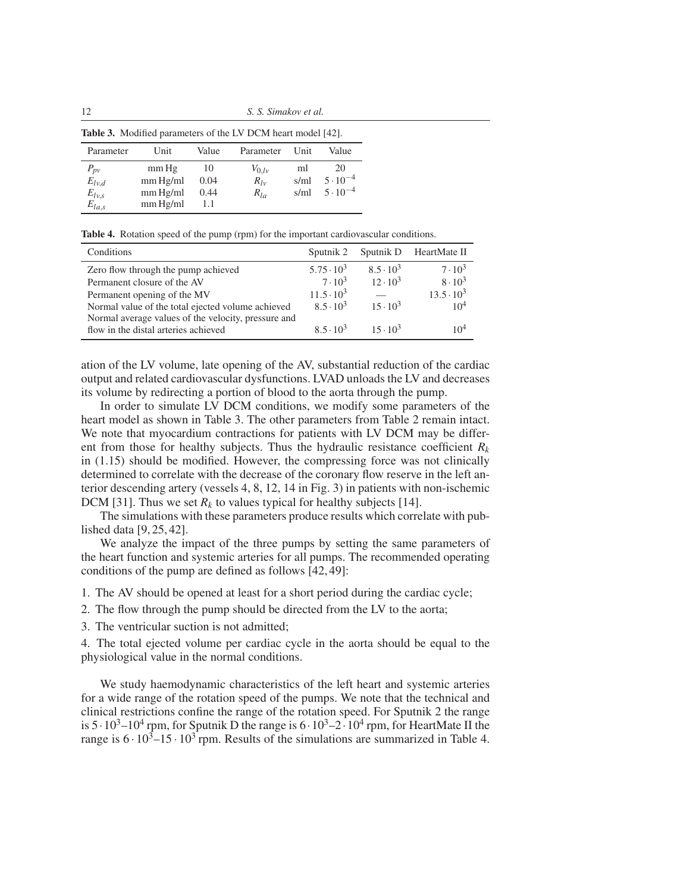12 *S. S. Simakov et al.*

| <b>Table 3.</b> Modified parameters of the LV DCM heart model [42]. |          |       |            |      |                        |  |  |
|---------------------------------------------------------------------|----------|-------|------------|------|------------------------|--|--|
| Parameter                                                           | Unit     | Value | Parameter  | Unit | Value                  |  |  |
| $P_{pv}$                                                            | mm Hg    | 10    | $V_{0,lv}$ | ml   | 20                     |  |  |
| $E_{lv,d}$                                                          | mm Hg/ml | 0.04  | $R_{Iv}$   | s/ml | $5 \cdot 10^{-4}$      |  |  |
| $E_{l_{v,s}}$                                                       | mm Hg/ml | 0.44  | $R_{Ia}$   |      | s/ml $5 \cdot 10^{-4}$ |  |  |
| $E_{la,s}$                                                          | mm Hg/ml | 1.1   |            |      |                        |  |  |

Table 4. Rotation speed of the pump (rpm) for the important cardiovascular conditions.

| Conditions                                                                                               | Sputnik 2         |                  | Sputnik D HeartMate II |
|----------------------------------------------------------------------------------------------------------|-------------------|------------------|------------------------|
| Zero flow through the pump achieved                                                                      | $5.75 \cdot 10^3$ | $8.5 \cdot 10^3$ | $7 \cdot 10^3$         |
| Permanent closure of the AV                                                                              | $7 \cdot 10^3$    | $12 \cdot 10^3$  | $8 \cdot 10^3$         |
| Permanent opening of the MV                                                                              | $11.5 \cdot 10^3$ |                  | $13.5 \cdot 10^3$      |
| Normal value of the total ejected volume achieved<br>Normal average values of the velocity, pressure and | $8.5 \cdot 10^3$  | $15 \cdot 10^3$  | 10 <sup>4</sup>        |
| flow in the distal arteries achieved                                                                     | $8.5 \cdot 10^3$  | $15 \cdot 10^3$  | 10 <sup>4</sup>        |

ation of the LV volume, late opening of the AV, substantial reduction of the cardiac output and related cardiovascular dysfunctions. LVAD unloads the LV and decreases its volume by redirecting a portion of blood to the aorta through the pump.

In order to simulate LV DCM conditions, we modify some parameters of the heart model as shown in Table 3. The other parameters from Table 2 remain intact. We note that myocardium contractions for patients with LV DCM may be different from those for healthy subjects. Thus the hydraulic resistance coefficient  $R_k$ in (1.15) should be modified. However, the compressing force was not clinically determined to correlate with the decrease of the coronary flow reserve in the left anterior descending artery (vessels 4, 8, 12, 14 in Fig. 3) in patients with non-ischemic DCM [31]. Thus we set  $R_k$  to values typical for healthy subjects [14].

The simulations with these parameters produce results which correlate with published data [9, 25, 42].

We analyze the impact of the three pumps by setting the same parameters of the heart function and systemic arteries for all pumps. The recommended operating conditions of the pump are defined as follows [42, 49]:

- 1. The AV should be opened at least for a short period during the cardiac cycle;
- 2. The flow through the pump should be directed from the LV to the aorta;
- 3. The ventricular suction is not admitted;

4. The total ejected volume per cardiac cycle in the aorta should be equal to the physiological value in the normal conditions.

We study haemodynamic characteristics of the left heart and systemic arteries for a wide range of the rotation speed of the pumps. We note that the technical and clinical restrictions confine the range of the rotation speed. For Sputnik 2 the range is  $5 \cdot 10^3 - 10^4$  rpm, for Sputnik D the range is  $6 \cdot 10^3 - 2 \cdot 10^4$  rpm, for HeartMate II the range is  $6 \cdot 10^3 - 15 \cdot 10^3$  rpm. Results of the simulations are summarized in Table 4.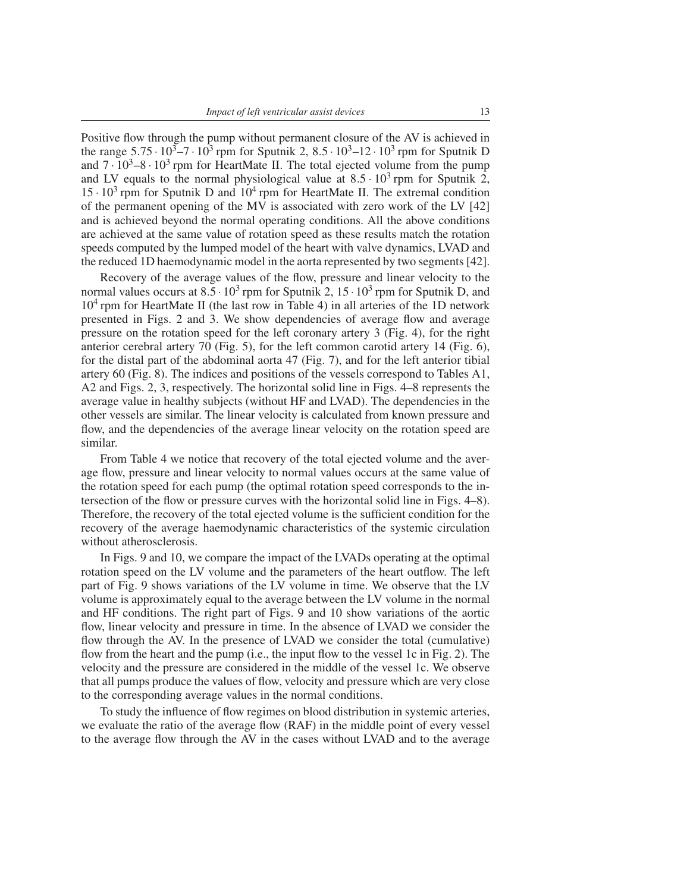Positive flow through the pump without permanent closure of the AV is achieved in the range  $5.75 \cdot 10^3 - 7 \cdot 10^3$  rpm for Sputnik 2,  $8.5 \cdot 10^3 - 12 \cdot 10^3$  rpm for Sputnik D and  $7 \cdot 10^3 - 8 \cdot 10^3$  rpm for HeartMate II. The total ejected volume from the pump and LV equals to the normal physiological value at  $8.5 \cdot 10^3$  rpm for Sputnik 2,  $15 \cdot 10^3$  rpm for Sputnik D and  $10^4$  rpm for HeartMate II. The extremal condition of the permanent opening of the MV is associated with zero work of the LV [42] and is achieved beyond the normal operating conditions. All the above conditions are achieved at the same value of rotation speed as these results match the rotation speeds computed by the lumped model of the heart with valve dynamics, LVAD and the reduced 1D haemodynamic model in the aorta represented by two segments [42].

Recovery of the average values of the flow, pressure and linear velocity to the normal values occurs at  $8.5 \cdot 10^3$  rpm for Sputnik 2,  $15 \cdot 10^3$  rpm for Sputnik D, and 10<sup>4</sup> rpm for HeartMate II (the last row in Table 4) in all arteries of the 1D network presented in Figs. 2 and 3. We show dependencies of average flow and average pressure on the rotation speed for the left coronary artery 3 (Fig. 4), for the right anterior cerebral artery 70 (Fig. 5), for the left common carotid artery 14 (Fig. 6), for the distal part of the abdominal aorta 47 (Fig. 7), and for the left anterior tibial artery 60 (Fig. 8). The indices and positions of the vessels correspond to Tables A1, A2 and Figs. 2, 3, respectively. The horizontal solid line in Figs. 4–8 represents the average value in healthy subjects (without HF and LVAD). The dependencies in the other vessels are similar. The linear velocity is calculated from known pressure and flow, and the dependencies of the average linear velocity on the rotation speed are similar.

From Table 4 we notice that recovery of the total ejected volume and the average flow, pressure and linear velocity to normal values occurs at the same value of the rotation speed for each pump (the optimal rotation speed corresponds to the intersection of the flow or pressure curves with the horizontal solid line in Figs. 4–8). Therefore, the recovery of the total ejected volume is the sufficient condition for the recovery of the average haemodynamic characteristics of the systemic circulation without atherosclerosis.

In Figs. 9 and 10, we compare the impact of the LVADs operating at the optimal rotation speed on the LV volume and the parameters of the heart outflow. The left part of Fig. 9 shows variations of the LV volume in time. We observe that the LV volume is approximately equal to the average between the LV volume in the normal and HF conditions. The right part of Figs. 9 and 10 show variations of the aortic flow, linear velocity and pressure in time. In the absence of LVAD we consider the flow through the AV. In the presence of LVAD we consider the total (cumulative) flow from the heart and the pump (i.e., the input flow to the vessel 1c in Fig. 2). The velocity and the pressure are considered in the middle of the vessel 1c. We observe that all pumps produce the values of flow, velocity and pressure which are very close to the corresponding average values in the normal conditions.

To study the influence of flow regimes on blood distribution in systemic arteries, we evaluate the ratio of the average flow (RAF) in the middle point of every vessel to the average flow through the AV in the cases without LVAD and to the average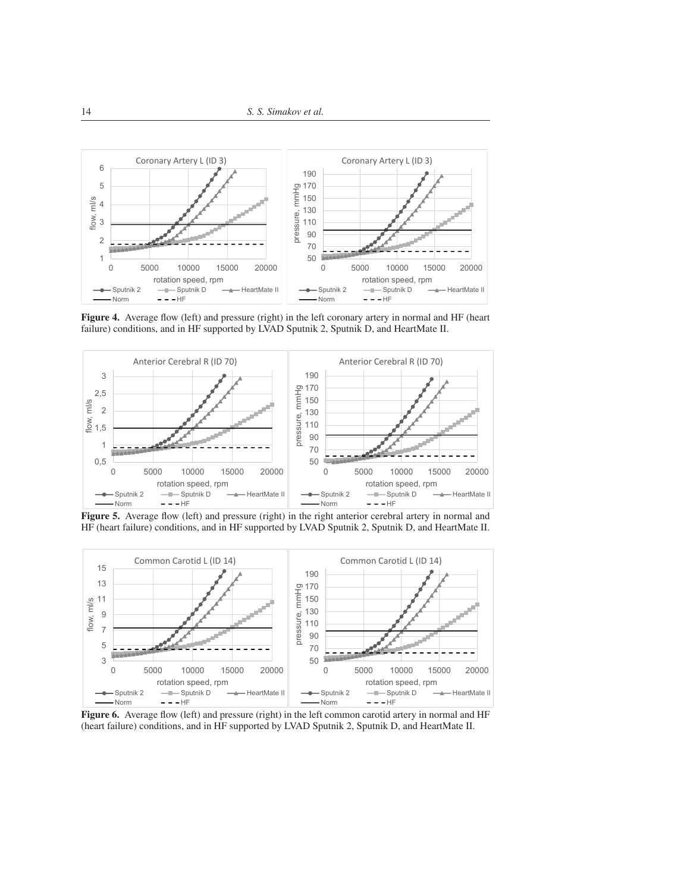

Figure 4. Average flow (left) and pressure (right) in the left coronary artery in normal and HF (heart failure) conditions, and in HF supported by LVAD Sputnik 2, Sputnik D, and HeartMate II.



Figure 5. Average flow (left) and pressure (right) in the right anterior cerebral artery in normal and HF (heart failure) conditions, and in HF supported by LVAD Sputnik 2, Sputnik D, and HeartMate II.



Figure 6. Average flow (left) and pressure (right) in the left common carotid artery in normal and HF (heart failure) conditions, and in HF supported by LVAD Sputnik 2, Sputnik D, and HeartMate II.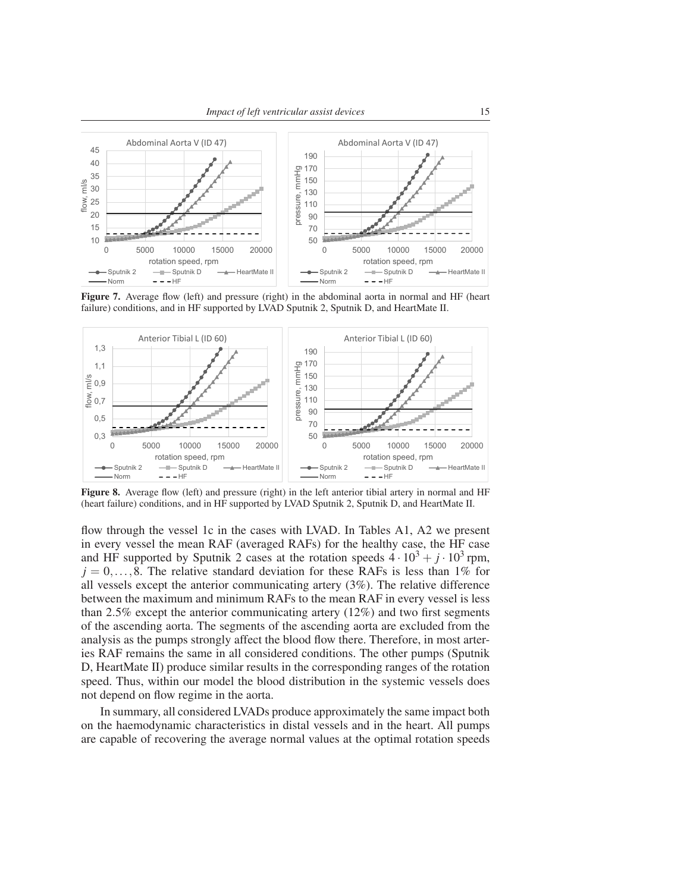

Figure 7. Average flow (left) and pressure (right) in the abdominal aorta in normal and HF (heart failure) conditions, and in HF supported by LVAD Sputnik 2, Sputnik D, and HeartMate II.



Figure 8. Average flow (left) and pressure (right) in the left anterior tibial artery in normal and HF (heart failure) conditions, and in HF supported by LVAD Sputnik 2, Sputnik D, and HeartMate II.

flow through the vessel 1c in the cases with LVAD. In Tables A1, A2 we present in every vessel the mean RAF (averaged RAFs) for the healthy case, the HF case and HF supported by Sputnik 2 cases at the rotation speeds  $4 \cdot 10^3 + j \cdot 10^3$  rpm,  $j = 0, \ldots, 8$ . The relative standard deviation for these RAFs is less than 1% for all vessels except the anterior communicating artery (3%). The relative difference between the maximum and minimum RAFs to the mean RAF in every vessel is less than 2.5% except the anterior communicating artery (12%) and two first segments of the ascending aorta. The segments of the ascending aorta are excluded from the analysis as the pumps strongly affect the blood flow there. Therefore, in most arteries RAF remains the same in all considered conditions. The other pumps (Sputnik D, HeartMate II) produce similar results in the corresponding ranges of the rotation speed. Thus, within our model the blood distribution in the systemic vessels does not depend on flow regime in the aorta.

In summary, all considered LVADs produce approximately the same impact both on the haemodynamic characteristics in distal vessels and in the heart. All pumps are capable of recovering the average normal values at the optimal rotation speeds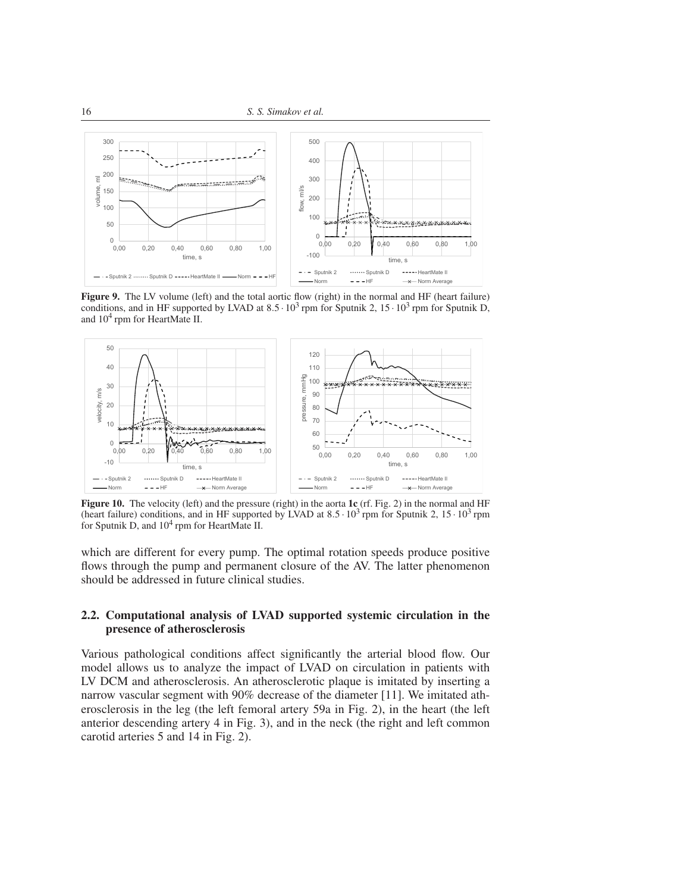

Figure 9. The LV volume (left) and the total aortic flow (right) in the normal and HF (heart failure) conditions, and in HF supported by LVAD at  $8.5 \cdot 10^3$  rpm for Sputnik 2,  $15 \cdot 10^3$  rpm for Sputnik D, and  $10^4$  rpm for HeartMate II.



Figure 10. The velocity (left) and the pressure (right) in the aorta 1c (rf. Fig. 2) in the normal and HF (heart failure) conditions, and in HF supported by LVAD at  $8.5 \cdot 10^3$  rpm for Sputnik 2,  $15 \cdot 10^3$  rpm for Sputnik D, and  $10^4$  rpm for HeartMate II.

which are different for every pump. The optimal rotation speeds produce positive flows through the pump and permanent closure of the AV. The latter phenomenon should be addressed in future clinical studies.

## 2.2. Computational analysis of LVAD supported systemic circulation in the presence of atherosclerosis

Various pathological conditions affect significantly the arterial blood flow. Our model allows us to analyze the impact of LVAD on circulation in patients with LV DCM and atherosclerosis. An atherosclerotic plaque is imitated by inserting a narrow vascular segment with 90% decrease of the diameter [11]. We imitated atherosclerosis in the leg (the left femoral artery 59a in Fig. 2), in the heart (the left anterior descending artery 4 in Fig. 3), and in the neck (the right and left common carotid arteries 5 and 14 in Fig. 2).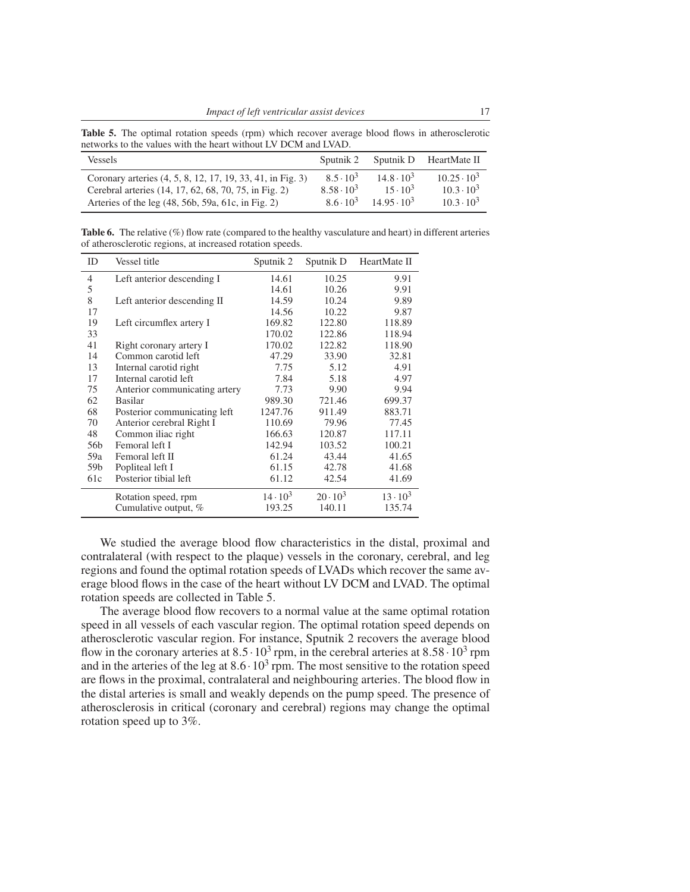Table 5. The optimal rotation speeds (rpm) which recover average blood flows in atherosclerotic networks to the values with the heart without LV DCM and LVAD.

| <b>Vessels</b>                                             | Sputnik 2         |                    | Sputnik D HeartMate II |
|------------------------------------------------------------|-------------------|--------------------|------------------------|
| Coronary arteries (4, 5, 8, 12, 17, 19, 33, 41, in Fig. 3) | $8.5 \cdot 10^3$  | $14.8 \cdot 10^3$  | $10.25 \cdot 10^3$     |
| Cerebral arteries (14, 17, 62, 68, 70, 75, in Fig. 2)      | $8.58 \cdot 10^3$ | $15 \cdot 10^3$    | $10.3 \cdot 10^3$      |
| Arteries of the leg (48, 56b, 59a, 61c, in Fig. 2)         | $8.6 \cdot 10^3$  | $14.95 \cdot 10^3$ | $10.3 \cdot 10^3$      |

Table 6. The relative (%) flow rate (compared to the healthy vasculature and heart) in different arteries of atherosclerotic regions, at increased rotation speeds.

| ID  | Vessel title                  | Sputnik 2       | Sputnik D       | HeartMate II    |
|-----|-------------------------------|-----------------|-----------------|-----------------|
| 4   | Left anterior descending I    | 14.61           | 10.25           | 9.91            |
| 5   |                               | 14.61           | 10.26           | 9.91            |
| 8   | Left anterior descending II   | 14.59           | 10.24           | 9.89            |
| 17  |                               | 14.56           | 10.22           | 9.87            |
| 19  | Left circumflex artery I      | 169.82          | 122.80          | 118.89          |
| 33  |                               | 170.02          | 122.86          | 118.94          |
| 41  | Right coronary artery I       | 170.02          | 122.82          | 118.90          |
| 14  | Common carotid left           | 47.29           | 33.90           | 32.81           |
| 13  | Internal carotid right        | 7.75            | 5.12            | 4.91            |
| 17  | Internal carotid left         | 7.84            | 5.18            | 4.97            |
| 75  | Anterior communicating artery | 7.73            | 9.90            | 9.94            |
| 62  | <b>Basilar</b>                | 989.30          | 721.46          | 699.37          |
| 68  | Posterior communicating left  | 1247.76         | 911.49          | 883.71          |
| 70  | Anterior cerebral Right I     | 110.69          | 79.96           | 77.45           |
| 48  | Common iliac right            | 166.63          | 120.87          | 117.11          |
| 56b | Femoral left I                | 142.94          | 103.52          | 100.21          |
| 59a | Femoral left II               | 61.24           | 43.44           | 41.65           |
| 59b | Popliteal left I              | 61.15           | 42.78           | 41.68           |
| 61c | Posterior tibial left         | 61.12           | 42.54           | 41.69           |
|     | Rotation speed, rpm           | $14 \cdot 10^3$ | $20 \cdot 10^3$ | $13 \cdot 10^3$ |
|     | Cumulative output, %          | 193.25          | 140.11          | 135.74          |

We studied the average blood flow characteristics in the distal, proximal and contralateral (with respect to the plaque) vessels in the coronary, cerebral, and leg regions and found the optimal rotation speeds of LVADs which recover the same average blood flows in the case of the heart without LV DCM and LVAD. The optimal rotation speeds are collected in Table 5.

The average blood flow recovers to a normal value at the same optimal rotation speed in all vessels of each vascular region. The optimal rotation speed depends on atherosclerotic vascular region. For instance, Sputnik 2 recovers the average blood flow in the coronary arteries at  $8.5 \cdot 10^3$  rpm, in the cerebral arteries at  $8.58 \cdot 10^3$  rpm and in the arteries of the leg at  $8.6 \cdot 10^3$  rpm. The most sensitive to the rotation speed are flows in the proximal, contralateral and neighbouring arteries. The blood flow in the distal arteries is small and weakly depends on the pump speed. The presence of atherosclerosis in critical (coronary and cerebral) regions may change the optimal rotation speed up to 3%.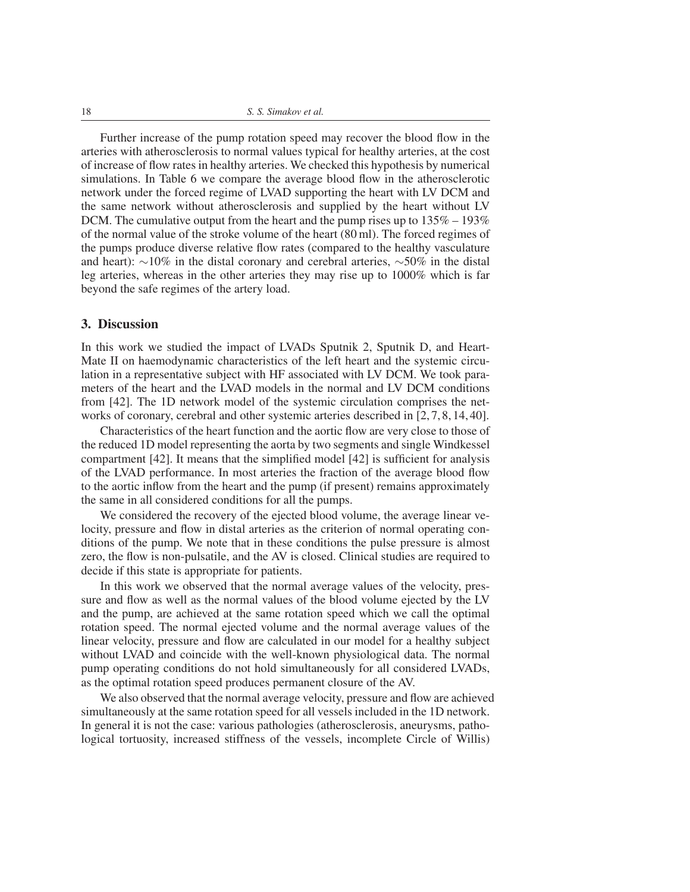18 *S. S. Simakov et al.*

Further increase of the pump rotation speed may recover the blood flow in the arteries with atherosclerosis to normal values typical for healthy arteries, at the cost of increase of flow rates in healthy arteries. We checked this hypothesis by numerical simulations. In Table 6 we compare the average blood flow in the atherosclerotic network under the forced regime of LVAD supporting the heart with LV DCM and the same network without atherosclerosis and supplied by the heart without LV DCM. The cumulative output from the heart and the pump rises up to  $135\% - 193\%$ of the normal value of the stroke volume of the heart (80 ml). The forced regimes of the pumps produce diverse relative flow rates (compared to the healthy vasculature and heart): ∼10% in the distal coronary and cerebral arteries, ∼50% in the distal leg arteries, whereas in the other arteries they may rise up to 1000% which is far beyond the safe regimes of the artery load.

## 3. Discussion

In this work we studied the impact of LVADs Sputnik 2, Sputnik D, and Heart-Mate II on haemodynamic characteristics of the left heart and the systemic circulation in a representative subject with HF associated with LV DCM. We took parameters of the heart and the LVAD models in the normal and LV DCM conditions from [42]. The 1D network model of the systemic circulation comprises the networks of coronary, cerebral and other systemic arteries described in [2,7, 8, 14, 40].

Characteristics of the heart function and the aortic flow are very close to those of the reduced 1D model representing the aorta by two segments and single Windkessel compartment [42]. It means that the simplified model [42] is sufficient for analysis of the LVAD performance. In most arteries the fraction of the average blood flow to the aortic inflow from the heart and the pump (if present) remains approximately the same in all considered conditions for all the pumps.

We considered the recovery of the ejected blood volume, the average linear velocity, pressure and flow in distal arteries as the criterion of normal operating conditions of the pump. We note that in these conditions the pulse pressure is almost zero, the flow is non-pulsatile, and the AV is closed. Clinical studies are required to decide if this state is appropriate for patients.

In this work we observed that the normal average values of the velocity, pressure and flow as well as the normal values of the blood volume ejected by the LV and the pump, are achieved at the same rotation speed which we call the optimal rotation speed. The normal ejected volume and the normal average values of the linear velocity, pressure and flow are calculated in our model for a healthy subject without LVAD and coincide with the well-known physiological data. The normal pump operating conditions do not hold simultaneously for all considered LVADs, as the optimal rotation speed produces permanent closure of the AV.

We also observed that the normal average velocity, pressure and flow are achieved simultaneously at the same rotation speed for all vessels included in the 1D network. In general it is not the case: various pathologies (atherosclerosis, aneurysms, pathological tortuosity, increased stiffness of the vessels, incomplete Circle of Willis)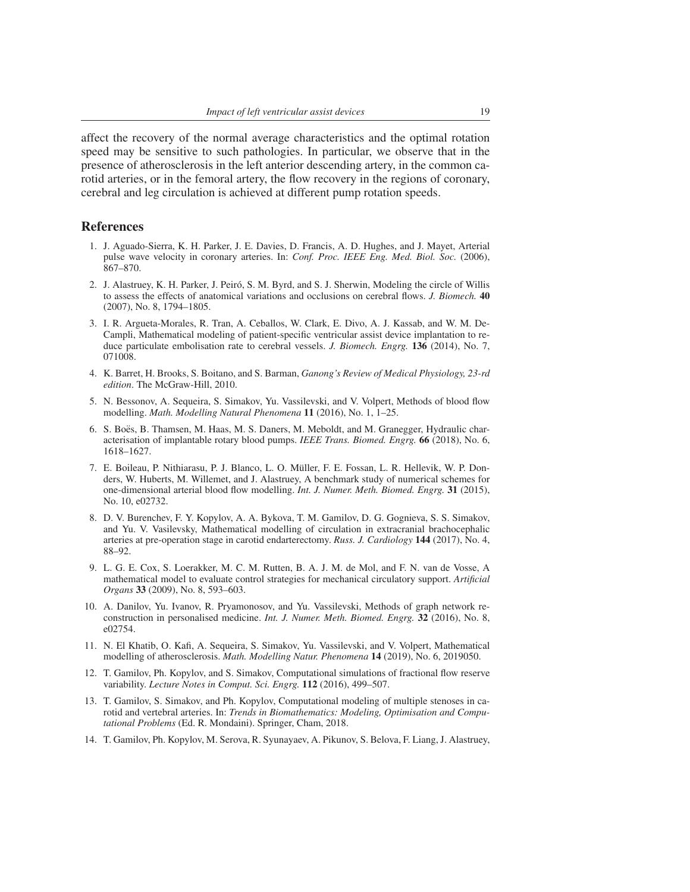affect the recovery of the normal average characteristics and the optimal rotation speed may be sensitive to such pathologies. In particular, we observe that in the presence of atherosclerosis in the left anterior descending artery, in the common carotid arteries, or in the femoral artery, the flow recovery in the regions of coronary, cerebral and leg circulation is achieved at different pump rotation speeds.

## References

- 1. J. Aguado-Sierra, K. H. Parker, J. E. Davies, D. Francis, A. D. Hughes, and J. Mayet, Arterial pulse wave velocity in coronary arteries. In: *Conf. Proc. IEEE Eng. Med. Biol. Soc.* (2006), 867–870.
- 2. J. Alastruey, K. H. Parker, J. Peiro, S. M. Byrd, and S. J. Sherwin, Modeling the circle of Willis ´ to assess the effects of anatomical variations and occlusions on cerebral flows. *J. Biomech.* 40 (2007), No. 8, 1794–1805.
- 3. I. R. Argueta-Morales, R. Tran, A. Ceballos, W. Clark, E. Divo, A. J. Kassab, and W. M. De-Campli, Mathematical modeling of patient-specific ventricular assist device implantation to reduce particulate embolisation rate to cerebral vessels. *J. Biomech. Engrg.* 136 (2014), No. 7, 071008.
- 4. K. Barret, H. Brooks, S. Boitano, and S. Barman, *Ganong's Review of Medical Physiology, 23-rd edition*. The McGraw-Hill, 2010.
- 5. N. Bessonov, A. Sequeira, S. Simakov, Yu. Vassilevski, and V. Volpert, Methods of blood flow modelling. *Math. Modelling Natural Phenomena* 11 (2016), No. 1, 1–25.
- 6. S. Boës, B. Thamsen, M. Haas, M. S. Daners, M. Meboldt, and M. Granegger, Hydraulic characterisation of implantable rotary blood pumps. *IEEE Trans. Biomed. Engrg.* 66 (2018), No. 6, 1618–1627.
- 7. E. Boileau, P. Nithiarasu, P. J. Blanco, L. O. Muller, F. E. Fossan, L. R. Hellevik, W. P. Don- ¨ ders, W. Huberts, M. Willemet, and J. Alastruey, A benchmark study of numerical schemes for one-dimensional arterial blood flow modelling. *Int. J. Numer. Meth. Biomed. Engrg.* 31 (2015), No. 10, e02732.
- 8. D. V. Burenchev, F. Y. Kopylov, A. A. Bykova, T. M. Gamilov, D. G. Gognieva, S. S. Simakov, and Yu. V. Vasilevsky, Mathematical modelling of circulation in extracranial brachocephalic arteries at pre-operation stage in carotid endarterectomy. *Russ. J. Cardiology* 144 (2017), No. 4, 88–92.
- 9. L. G. E. Cox, S. Loerakker, M. C. M. Rutten, B. A. J. M. de Mol, and F. N. van de Vosse, A mathematical model to evaluate control strategies for mechanical circulatory support. *Artificial Organs* 33 (2009), No. 8, 593–603.
- 10. A. Danilov, Yu. Ivanov, R. Pryamonosov, and Yu. Vassilevski, Methods of graph network reconstruction in personalised medicine. *Int. J. Numer. Meth. Biomed. Engrg.* 32 (2016), No. 8, e02754.
- 11. N. El Khatib, O. Kafi, A. Sequeira, S. Simakov, Yu. Vassilevski, and V. Volpert, Mathematical modelling of atherosclerosis. *Math. Modelling Natur. Phenomena* 14 (2019), No. 6, 2019050.
- 12. T. Gamilov, Ph. Kopylov, and S. Simakov, Computational simulations of fractional flow reserve variability. *Lecture Notes in Comput. Sci. Engrg.* 112 (2016), 499–507.
- 13. T. Gamilov, S. Simakov, and Ph. Kopylov, Computational modeling of multiple stenoses in carotid and vertebral arteries. In: *Trends in Biomathematics: Modeling, Optimisation and Computational Problems* (Ed. R. Mondaini). Springer, Cham, 2018.
- 14. T. Gamilov, Ph. Kopylov, M. Serova, R. Syunayaev, A. Pikunov, S. Belova, F. Liang, J. Alastruey,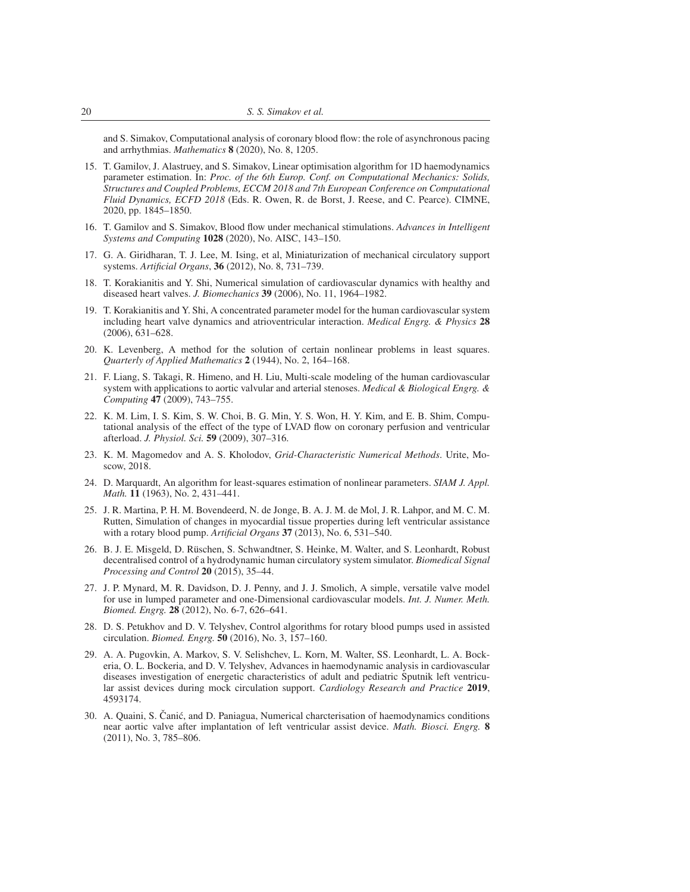and S. Simakov, Computational analysis of coronary blood flow: the role of asynchronous pacing and arrhythmias. *Mathematics* 8 (2020), No. 8, 1205.

- 15. T. Gamilov, J. Alastruey, and S. Simakov, Linear optimisation algorithm for 1D haemodynamics parameter estimation. In: *Proc. of the 6th Europ. Conf. on Computational Mechanics: Solids, Structures and Coupled Problems, ECCM 2018 and 7th European Conference on Computational Fluid Dynamics, ECFD 2018* (Eds. R. Owen, R. de Borst, J. Reese, and C. Pearce). CIMNE, 2020, pp. 1845–1850.
- 16. T. Gamilov and S. Simakov, Blood flow under mechanical stimulations. *Advances in Intelligent Systems and Computing* 1028 (2020), No. AISC, 143–150.
- 17. G. A. Giridharan, T. J. Lee, M. Ising, et al, Miniaturization of mechanical circulatory support systems. *Artificial Organs*, 36 (2012), No. 8, 731–739.
- 18. T. Korakianitis and Y. Shi, Numerical simulation of cardiovascular dynamics with healthy and diseased heart valves. *J. Biomechanics* 39 (2006), No. 11, 1964–1982.
- 19. T. Korakianitis and Y. Shi, A concentrated parameter model for the human cardiovascular system including heart valve dynamics and atrioventricular interaction. *Medical Engrg. & Physics* 28 (2006), 631–628.
- 20. K. Levenberg, A method for the solution of certain nonlinear problems in least squares. *Quarterly of Applied Mathematics* 2 (1944), No. 2, 164–168.
- 21. F. Liang, S. Takagi, R. Himeno, and H. Liu, Multi-scale modeling of the human cardiovascular system with applications to aortic valvular and arterial stenoses. *Medical & Biological Engrg. & Computing* 47 (2009), 743–755.
- 22. K. M. Lim, I. S. Kim, S. W. Choi, B. G. Min, Y. S. Won, H. Y. Kim, and E. B. Shim, Computational analysis of the effect of the type of LVAD flow on coronary perfusion and ventricular afterload. *J. Physiol. Sci.* 59 (2009), 307–316.
- 23. K. M. Magomedov and A. S. Kholodov, *Grid-Characteristic Numerical Methods*. Urite, Moscow, 2018.
- 24. D. Marquardt, An algorithm for least-squares estimation of nonlinear parameters. *SIAM J. Appl. Math.* 11 (1963), No. 2, 431–441.
- 25. J. R. Martina, P. H. M. Bovendeerd, N. de Jonge, B. A. J. M. de Mol, J. R. Lahpor, and M. C. M. Rutten, Simulation of changes in myocardial tissue properties during left ventricular assistance with a rotary blood pump. *Artificial Organs* 37 (2013), No. 6, 531–540.
- 26. B. J. E. Misgeld, D. Rüschen, S. Schwandtner, S. Heinke, M. Walter, and S. Leonhardt, Robust decentralised control of a hydrodynamic human circulatory system simulator. *Biomedical Signal Processing and Control* 20 (2015), 35–44.
- 27. J. P. Mynard, M. R. Davidson, D. J. Penny, and J. J. Smolich, A simple, versatile valve model for use in lumped parameter and one-Dimensional cardiovascular models. *Int. J. Numer. Meth. Biomed. Engrg.* 28 (2012), No. 6-7, 626–641.
- 28. D. S. Petukhov and D. V. Telyshev, Control algorithms for rotary blood pumps used in assisted circulation. *Biomed. Engrg.* 50 (2016), No. 3, 157–160.
- 29. A. A. Pugovkin, A. Markov, S. V. Selishchev, L. Korn, M. Walter, SS. Leonhardt, L. A. Bockeria, O. L. Bockeria, and D. V. Telyshev, Advances in haemodynamic analysis in cardiovascular diseases investigation of energetic characteristics of adult and pediatric Sputnik left ventricular assist devices during mock circulation support. *Cardiology Research and Practice* 2019, 4593174.
- 30. A. Quaini, S. Čanić, and D. Paniagua, Numerical charcterisation of haemodynamics conditions near aortic valve after implantation of left ventricular assist device. *Math. Biosci. Engrg.* 8 (2011), No. 3, 785–806.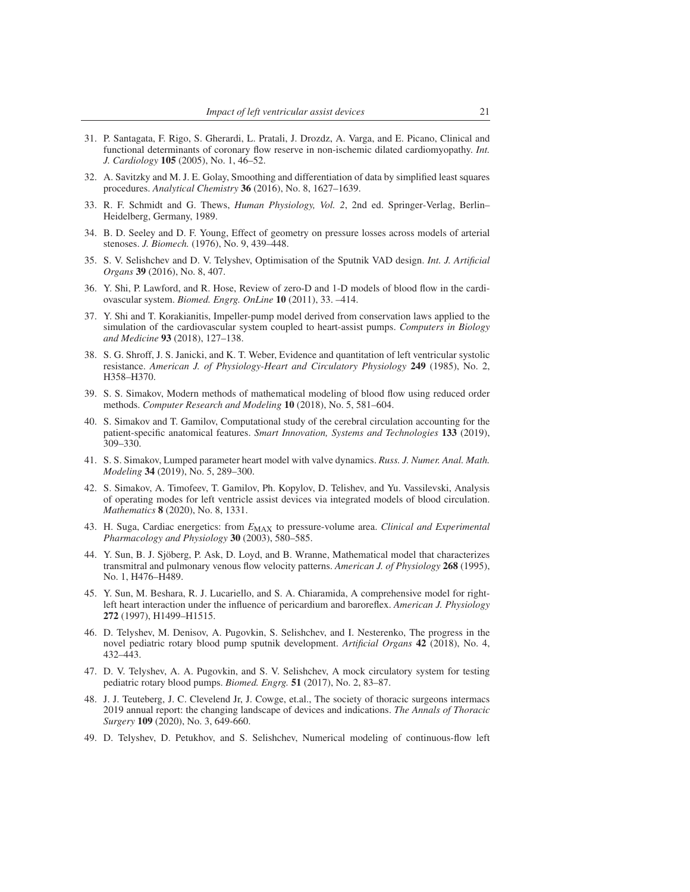- 31. P. Santagata, F. Rigo, S. Gherardi, L. Pratali, J. Drozdz, A. Varga, and E. Picano, Clinical and functional determinants of coronary flow reserve in non-ischemic dilated cardiomyopathy. *Int. J. Cardiology* 105 (2005), No. 1, 46–52.
- 32. A. Savitzky and M. J. E. Golay, Smoothing and differentiation of data by simplified least squares procedures. *Analytical Chemistry* 36 (2016), No. 8, 1627–1639.
- 33. R. F. Schmidt and G. Thews, *Human Physiology, Vol. 2*, 2nd ed. Springer-Verlag, Berlin– Heidelberg, Germany, 1989.
- 34. B. D. Seeley and D. F. Young, Effect of geometry on pressure losses across models of arterial stenoses. *J. Biomech.* (1976), No. 9, 439–448.
- 35. S. V. Selishchev and D. V. Telyshev, Optimisation of the Sputnik VAD design. *Int. J. Artificial Organs* 39 (2016), No. 8, 407.
- 36. Y. Shi, P. Lawford, and R. Hose, Review of zero-D and 1-D models of blood flow in the cardiovascular system. *Biomed. Engrg. OnLine* 10 (2011), 33. –414.
- 37. Y. Shi and T. Korakianitis, Impeller-pump model derived from conservation laws applied to the simulation of the cardiovascular system coupled to heart-assist pumps. *Computers in Biology and Medicine* 93 (2018), 127–138.
- 38. S. G. Shroff, J. S. Janicki, and K. T. Weber, Evidence and quantitation of left ventricular systolic resistance. *American J. of Physiology-Heart and Circulatory Physiology* 249 (1985), No. 2, H358–H370.
- 39. S. S. Simakov, Modern methods of mathematical modeling of blood flow using reduced order methods. *Computer Research and Modeling* 10 (2018), No. 5, 581–604.
- 40. S. Simakov and T. Gamilov, Computational study of the cerebral circulation accounting for the patient-specific anatomical features. *Smart Innovation, Systems and Technologies* 133 (2019), 309–330.
- 41. S. S. Simakov, Lumped parameter heart model with valve dynamics. *Russ. J. Numer. Anal. Math. Modeling* 34 (2019), No. 5, 289–300.
- 42. S. Simakov, A. Timofeev, T. Gamilov, Ph. Kopylov, D. Telishev, and Yu. Vassilevski, Analysis of operating modes for left ventricle assist devices via integrated models of blood circulation. *Mathematics* 8 (2020), No. 8, 1331.
- 43. H. Suga, Cardiac energetics: from *E*MAX to pressure-volume area. *Clinical and Experimental Pharmacology and Physiology* 30 (2003), 580–585.
- 44. Y. Sun, B. J. Sjoberg, P. Ask, D. Loyd, and B. Wranne, Mathematical model that characterizes ¨ transmitral and pulmonary venous flow velocity patterns. *American J. of Physiology* 268 (1995), No. 1, H476–H489.
- 45. Y. Sun, M. Beshara, R. J. Lucariello, and S. A. Chiaramida, A comprehensive model for rightleft heart interaction under the influence of pericardium and baroreflex. *American J. Physiology* 272 (1997), H1499–H1515.
- 46. D. Telyshev, M. Denisov, A. Pugovkin, S. Selishchev, and I. Nesterenko, The progress in the novel pediatric rotary blood pump sputnik development. *Artificial Organs* 42 (2018), No. 4, 432–443.
- 47. D. V. Telyshev, A. A. Pugovkin, and S. V. Selishchev, A mock circulatory system for testing pediatric rotary blood pumps. *Biomed. Engrg.* 51 (2017), No. 2, 83–87.
- 48. J. J. Teuteberg, J. C. Clevelend Jr, J. Cowge, et.al., The society of thoracic surgeons intermacs 2019 annual report: the changing landscape of devices and indications. *The Annals of Thoracic Surgery* 109 (2020), No. 3, 649-660.
- 49. D. Telyshev, D. Petukhov, and S. Selishchev, Numerical modeling of continuous-flow left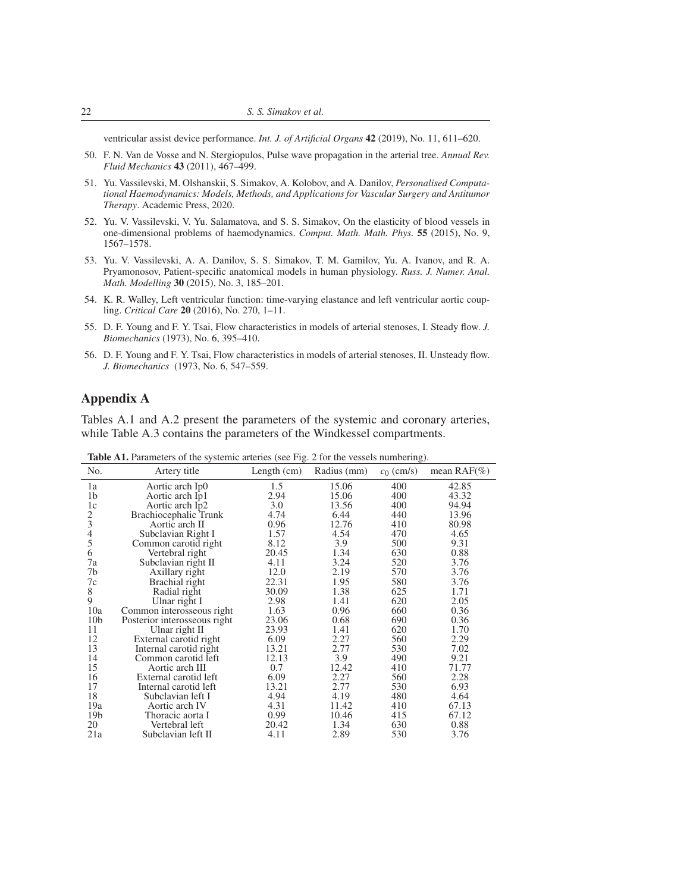ventricular assist device performance. *Int. J. of Artificial Organs* 42 (2019), No. 11, 611–620.

- 50. F. N. Van de Vosse and N. Stergiopulos, Pulse wave propagation in the arterial tree. *Annual Rev. Fluid Mechanics* 43 (2011), 467–499.
- 51. Yu. Vassilevski, M. Olshanskii, S. Simakov, A. Kolobov, and A. Danilov, *Personalised Computational Haemodynamics: Models, Methods, and Applications for Vascular Surgery and Antitumor Therapy*. Academic Press, 2020.
- 52. Yu. V. Vassilevski, V. Yu. Salamatova, and S. S. Simakov, On the elasticity of blood vessels in one-dimensional problems of haemodynamics. *Comput. Math. Math. Phys.* 55 (2015), No. 9, 1567–1578.
- 53. Yu. V. Vassilevski, A. A. Danilov, S. S. Simakov, T. M. Gamilov, Yu. A. Ivanov, and R. A. Pryamonosov, Patient-specific anatomical models in human physiology. *Russ. J. Numer. Anal. Math. Modelling* 30 (2015), No. 3, 185–201.
- 54. K. R. Walley, Left ventricular function: time-varying elastance and left ventricular aortic coupling. *Critical Care* 20 (2016), No. 270, 1–11.
- 55. D. F. Young and F. Y. Tsai, Flow characteristics in models of arterial stenoses, I. Steady flow. *J. Biomechanics* (1973), No. 6, 395–410.
- 56. D. F. Young and F. Y. Tsai, Flow characteristics in models of arterial stenoses, II. Unsteady flow. *J. Biomechanics* (1973, No. 6, 547–559.

# Appendix A

Tables A.1 and A.2 present the parameters of the systemic and coronary arteries, while Table A.3 contains the parameters of the Windkessel compartments.

| No.             | Artery title                 | Length $(cm)$ | Radius (mm) | $c_0$ (cm/s) | mean $RAF(\% )$ |
|-----------------|------------------------------|---------------|-------------|--------------|-----------------|
| 1a              | Aortic arch Ip0              | 1.5           | 15.06       | 400          | 42.85           |
| 1 <sub>b</sub>  | Aortic arch Ip1              | 2.94          | 15.06       | 400          | 43.32           |
| 1c              | Aortic arch Ip2              | 3.0           | 13.56       | 400          | 94.94           |
| $rac{2}{3}$     | Brachiocephalic Trunk        | 4.74          | 6.44        | 440          | 13.96           |
|                 | Aortic arch II               | 0.96          | 12.76       | 410          | 80.98           |
| $\frac{4}{5}$   | Subclavian Right I           | 1.57          | 4.54        | 470          | 4.65            |
|                 | Common carotid right         | 8.12          | 3.9         | 500          | 9.31            |
| 6               | Vertebral right              | 20.45         | 1.34        | 630          | 0.88            |
| 7a              | Subclavian right II          | 4.11          | 3.24        | 520          | 3.76            |
| 7b              | Axillary right               | 12.0          | 2.19        | 570          | 3.76            |
| 7c              | Brachial right               | 22.31         | 1.95        | 580          | 3.76            |
| 8               | Radial right                 | 30.09         | 1.38        | 625          | 1.71            |
| 9               | Ulnar right I                | 2.98          | 1.41        | 620          | 2.05            |
| 10a             | Common interosseous right    | 1.63          | 0.96        | 660          | 0.36            |
| 10 <sub>b</sub> | Posterior interosseous right | 23.06         | 0.68        | 690          | 0.36            |
| 11              | Ulnar right II               | 23.93         | 1.41        | 620          | 1.70            |
| 12              | External carotid right       | 6.09          | 2.27        | 560          | 2.29            |
| 13              | Internal carotid right       | 13.21         | 2.77        | 530          | 7.02            |
| 14              | Common carotid left          | 12.13         | 3.9         | 490          | 9.21            |
| 15              | Aortic arch III              | 0.7           | 12.42       | 410          | 71.77           |
| 16              | External carotid left        | 6.09          | 2.27        | 560          | 2.28            |
| 17              | Internal carotid left        | 13.21         | 2.77        | 530          | 6.93            |
| 18              | Subclavian left I            | 4.94          | 4.19        | 480          | 4.64            |
| 19a             | Aortic arch IV               | 4.31          | 11.42       | 410          | 67.13           |
| 19 <sub>b</sub> | Thoracic aorta I             | 0.99          | 10.46       | 415          | 67.12           |
| 20              | Vertebral left               | 20.42         | 1.34        | 630          | 0.88            |
| 21a             | Subclavian left II           | 4.11          | 2.89        | 530          | 3.76            |

Table A1. Parameters of the systemic arteries (see Fig. 2 for the vessels numbering).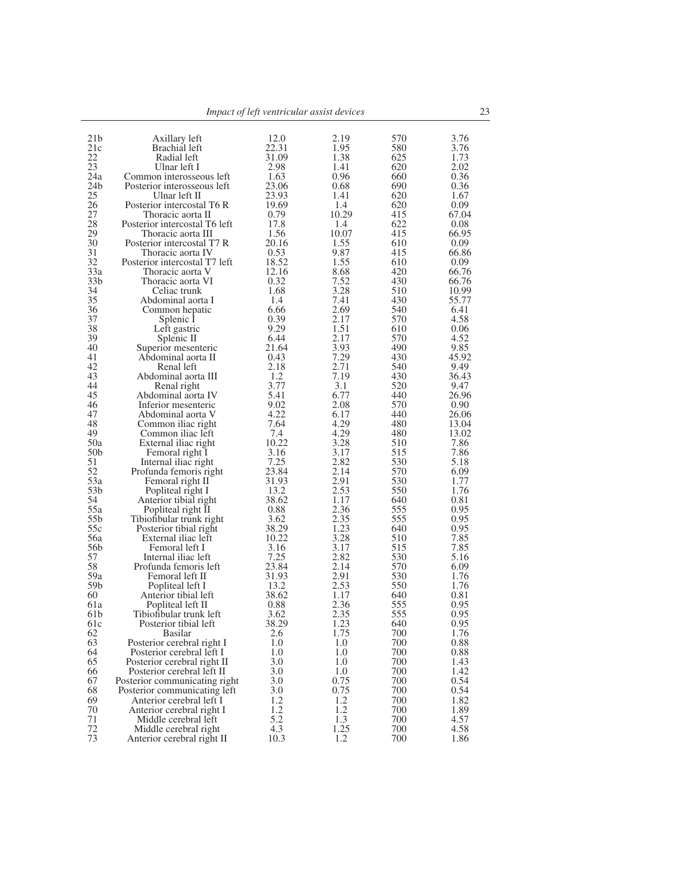| 21 <sub>b</sub> | Axillary left                 | 12.0  | 2.19  | 570 | 3.76  |
|-----------------|-------------------------------|-------|-------|-----|-------|
| 21c             | Brachial left                 | 22.31 | 1.95  | 580 | 3.76  |
| 22              | Radial left                   | 31.09 | 1.38  | 625 | 1.73  |
| 23              | Ulnar left I                  | 2.98  | 1.41  | 620 | 2.02  |
|                 |                               |       |       |     |       |
| 24a             | Common interosseous left      | 1.63  | 0.96  | 660 | 0.36  |
| 24 <sub>b</sub> | Posterior interosseous left   | 23.06 | 0.68  | 690 | 0.36  |
| 25              | Ulnar left II                 | 23.93 | 1.41  | 620 | 1.67  |
| 26              | Posterior intercostal T6 R    | 19.69 | 1.4   | 620 | 0.09  |
| 27              |                               | 0.79  | 10.29 |     |       |
|                 | Thoracic aorta II             |       |       | 415 | 67.04 |
| 28              | Posterior intercostal T6 left | 17.8  | 1.4   | 622 | 0.08  |
| 29              | Thoracic aorta III            | 1.56  | 10.07 | 415 | 66.95 |
| 30              | Posterior intercostal T7 R    | 20.16 | 1.55  | 610 | 0.09  |
| 31              | Thoracic aorta IV             | 0.53  | 9.87  | 415 | 66.86 |
| 32              | Posterior intercostal T7 left | 18.52 | 1.55  | 610 | 0.09  |
|                 |                               |       |       |     |       |
| 33a             | Thoracic aorta V              | 12.16 | 8.68  | 420 | 66.76 |
| 33 <sub>b</sub> | Thoracic aorta VI             | 0.32  | 7.52  | 430 | 66.76 |
| 34              | Celiac trunk                  | 1.68  | 3.28  | 510 | 10.99 |
| 35              | Abdominal aorta I             | 1.4   | 7.41  | 430 | 55.77 |
| 36              | Common hepatic                | 6.66  | 2.69  | 540 | 6.41  |
| 37              |                               | 0.39  | 2.17  | 570 | 4.58  |
|                 | Splenic I                     |       |       |     |       |
| 38              | Left gastric                  | 9.29  | 1.51  | 610 | 0.06  |
| 39              | Splenic II                    | 6.44  | 2.17  | 570 | 4.52  |
| 40              | Superior mesenteric           | 21.64 | 3.93  | 490 | 9.85  |
| 41              | Abdominal aorta II            | 0.43  | 7.29  | 430 | 45.92 |
| 42              | Renal left                    | 2.18  | 2.71  | 540 | 9.49  |
| 43              | Abdominal aorta III           | 1.2   | 7.19  | 430 | 36.43 |
|                 |                               |       |       |     |       |
| 44              | Renal right                   | 3.77  | 3.1   | 520 | 9.47  |
| 45              | Abdominal aorta IV            | 5.41  | 6.77  | 440 | 26.96 |
| 46              | Inferior mesenteric           | 9.02  | 2.08  | 570 | 0.90  |
| 47              | Abdominal aorta V             | 4.22  | 6.17  | 440 | 26.06 |
| 48              | Common iliac right            | 7.64  | 4.29  | 480 | 13.04 |
| 49              | Common iliac left             | 7.4   | 4.29  | 480 | 13.02 |
|                 |                               |       |       |     |       |
| 50a             | External iliac right          | 10.22 | 3.28  | 510 | 7.86  |
| 50 <sub>b</sub> | Femoral right I               | 3.16  | 3.17  | 515 | 7.86  |
| 51              | Internal iliac right          | 7.25  | 2.82  | 530 | 5.18  |
| 52              | Profunda femoris right        | 23.84 | 2.14  | 570 | 6.09  |
| 53a             | Femoral right II              | 31.93 | 2.91  | 530 | 1.77  |
| 53 <sub>b</sub> | Popliteal right I             | 13.2  | 2.53  | 550 | 1.76  |
| 54              |                               |       |       |     |       |
|                 | Anterior tibial right         | 38.62 | 1.17  | 640 | 0.81  |
| 55a             | Popliteal right II            | 0.88  | 2.36  | 555 | 0.95  |
| 55b             | Tibiofibular trunk right      | 3.62  | 2.35  | 555 | 0.95  |
| 55c             | Posterior tibial right        | 38.29 | 1.23  | 640 | 0.95  |
| 56a             | External iliac left           | 10.22 | 3.28  | 510 | 7.85  |
| 56b             | Femoral left I                | 3.16  | 3.17  | 515 | 7.85  |
| 57              |                               |       |       |     |       |
|                 | Internal iliac left           | 7.25  | 2.82  | 530 | 5.16  |
| 58              | Profunda femoris left         | 23.84 | 2.14  | 570 | 6.09  |
| 59a             | Femoral left II               | 31.93 | 2.91  | 530 | 1.76  |
| 59b             | Popliteal left I              | 13.2  | 2.53  | 550 | 1.76  |
| 60              | Anterior tibial left          | 38.62 | 1.17  | 640 | 0.81  |
| 61a             | Popliteal left II             | 0.88  | 2.36  | 555 | 0.95  |
| 61b             | Tibiofibular trunk left       | 3.62  | 2.35  | 555 | 0.95  |
|                 |                               |       |       |     |       |
| 61c             | Posterior tibial left         | 38.29 | 1.23  | 640 | 0.95  |
| 62              | Basilar                       | 2.6   | 1.75  | 700 | 1.76  |
| 63              | Posterior cerebral right I    | 1.0   | 1.0   | 700 | 0.88  |
| 64              | Posterior cerebral left I     | 1.0   | 1.0   | 700 | 0.88  |
| 65              | Posterior cerebral right II   | 3.0   | 1.0   | 700 | 1.43  |
| 66              |                               | 3.0   | 1.0   | 700 | 1.42  |
|                 | Posterior cerebral left II    |       |       |     |       |
| 67              | Posterior communicating right | 3.0   | 0.75  | 700 | 0.54  |
| 68              | Posterior communicating left  | 3.0   | 0.75  | 700 | 0.54  |
| 69              | Anterior cerebral left I      | 1.2   | 1.2   | 700 | 1.82  |
| 70              | Anterior cerebral right I     | 1.2   | 1.2   | 700 | 1.89  |
| 71              | Middle cerebral left          | 5.2   | 1.3   | 700 | 4.57  |
| 72              | Middle cerebral right         | 4.3   | 1.25  | 700 | 4.58  |
| 73              | Anterior cerebral right II    | 10.3  | 1.2   | 700 | 1.86  |
|                 |                               |       |       |     |       |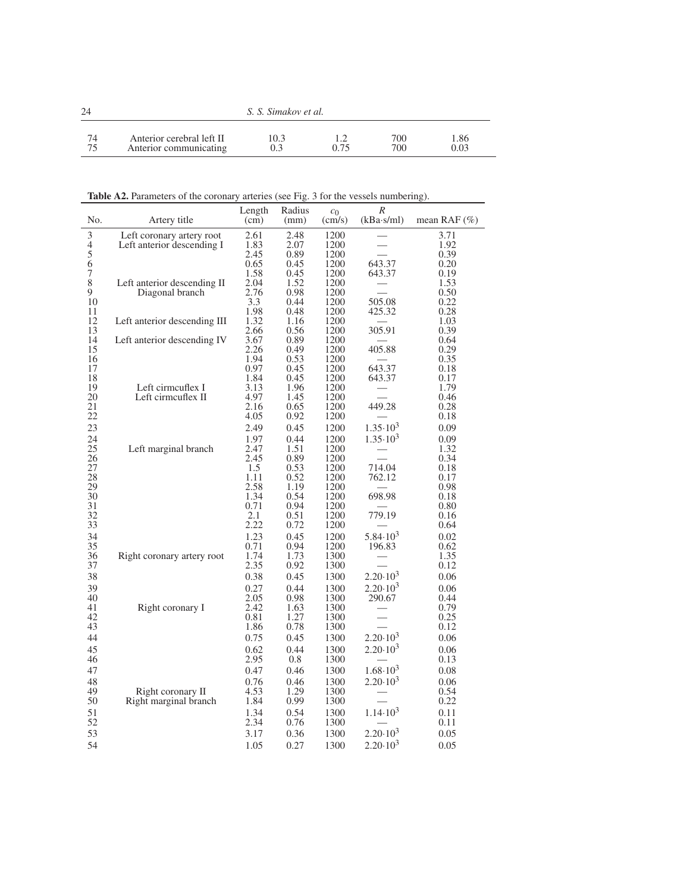| 24       | S. S. Simakov et al.                                |      |      |            |              |  |
|----------|-----------------------------------------------------|------|------|------------|--------------|--|
| 74<br>75 | Anterior cerebral left II<br>Anterior communicating | 10.3 | 0.75 | 700<br>700 | 1.86<br>0.03 |  |

Table A2. Parameters of the coronary arteries (see Fig. 3 for the vessels numbering).

|               | <b>Table A2.</b> I atalleters of the coronally arteries (see Fig. 3 for the vessels numbering). |              |              |                              |                     |                  |
|---------------|-------------------------------------------------------------------------------------------------|--------------|--------------|------------------------------|---------------------|------------------|
|               |                                                                                                 | Length       | Radius       | c <sub>0</sub>               | R                   |                  |
| No.           | Artery title                                                                                    | (cm)         | (mm)         | $\frac{\text{cm}}{\text{s}}$ | (kBa·s/ml)          | mean RAF $(\% )$ |
|               |                                                                                                 |              |              |                              |                     |                  |
| $345$<br>6    | Left coronary artery root                                                                       | 2.61<br>1.83 | 2.48<br>2.07 | 1200                         |                     | 3.71             |
|               | Left anterior descending I                                                                      |              |              | 1200                         |                     | 1.92<br>0.39     |
|               |                                                                                                 | 2.45         | 0.89<br>0.45 | 1200                         |                     | 0.20             |
|               |                                                                                                 | 0.65         |              | 1200                         | 643.37              |                  |
| $\frac{7}{8}$ |                                                                                                 | 1.58<br>2.04 | 0.45<br>1.52 | 1200<br>1200                 | 643.37              | 0.19<br>1.53     |
| 9             | Left anterior descending II                                                                     | 2.76         |              | 1200                         |                     | 0.50             |
| 10            | Diagonal branch                                                                                 | 3.3          | 0.98<br>0.44 | 1200                         | 505.08              | 0.22             |
| 11            |                                                                                                 | 1.98         | 0.48         | 1200                         | 425.32              | 0.28             |
| 12            | Left anterior descending III                                                                    | 1.32         | 1.16         | 1200                         |                     | 1.03             |
| 13            |                                                                                                 | 2.66         | 0.56         | 1200                         | 305.91              | 0.39             |
| 14            | Left anterior descending IV                                                                     | 3.67         | 0.89         | 1200                         |                     | 0.64             |
| 15            |                                                                                                 | 2.26         | 0.49         | 1200                         | 405.88              | 0.29             |
| 16            |                                                                                                 | 1.94         | 0.53         | 1200                         |                     | 0.35             |
| 17            |                                                                                                 | 0.97         | 0.45         | 1200                         | 643.37              | 0.18             |
| 18            |                                                                                                 | 1.84         | 0.45         | 1200                         | 643.37              | 0.17             |
| 19            | Left cirmcuflex I                                                                               | 3.13         | 1.96         | 1200                         |                     | 1.79             |
| 20            | Left cirmcuflex II                                                                              | 4.97         | 1.45         | 1200                         |                     | 0.46             |
| 21            |                                                                                                 | 2.16         | 0.65         | 1200                         | 449.28              | 0.28             |
| 22            |                                                                                                 | 4.05         | 0.92         | 1200                         |                     | 0.18             |
| 23            |                                                                                                 | 2.49         | 0.45         | 1200                         | $1.35 \cdot 10^3$   | 0.09             |
|               |                                                                                                 |              |              |                              |                     |                  |
| 24            |                                                                                                 | 1.97         | 0.44         | 1200                         | $1.35 \cdot 10^3$   | 0.09             |
| 25            | Left marginal branch                                                                            | 2.47         | 1.51         | 1200                         |                     | 1.32             |
| 26            |                                                                                                 | 2.45         | 0.89         | 1200                         |                     | 0.34             |
| 27<br>28      |                                                                                                 | 1.5<br>1.11  | 0.53<br>0.52 | 1200                         | 714.04<br>762.12    | 0.18             |
| 29            |                                                                                                 | 2.58         | 1.19         | 1200<br>1200                 |                     | 0.17<br>0.98     |
| 30            |                                                                                                 | 1.34         | 0.54         | 1200                         | 698.98              | 0.18             |
| 31            |                                                                                                 | 0.71         | 0.94         | 1200                         |                     | 0.80             |
| 32            |                                                                                                 | 2.1          | 0.51         | 1200                         | 779.19              | 0.16             |
| 33            |                                                                                                 | 2.22         | 0.72         | 1200                         |                     | 0.64             |
| 34            |                                                                                                 | 1.23         | 0.45         | 1200                         | $5.84 \cdot 10^3$   | 0.02             |
| 35            |                                                                                                 | 0.71         | 0.94         | 1200                         | 196.83              | 0.62             |
| 36            | Right coronary artery root                                                                      | 1.74         | 1.73         | 1300                         |                     | 1.35             |
| 37            |                                                                                                 | 2.35         | 0.92         | 1300                         |                     | 0.12             |
| 38            |                                                                                                 | 0.38         | 0.45         | 1300                         | $2.20 \cdot 10^3$   | 0.06             |
|               |                                                                                                 |              |              |                              |                     |                  |
| 39            |                                                                                                 | 0.27         | 0.44         | 1300                         | $2.20 \cdot 10^3$   | 0.06             |
| 40            |                                                                                                 | 2.05         | 0.98         | 1300                         | 290.67              | 0.44             |
| 41            | Right coronary I                                                                                | 2.42         | 1.63         | 1300                         |                     | 0.79             |
| 42            |                                                                                                 | 0.81         | 1.27         | 1300                         |                     | 0.25             |
| 43            |                                                                                                 | 1.86         | 0.78         | 1300                         |                     | 0.12             |
| 44            |                                                                                                 | 0.75         | 0.45         | 1300                         | $2.20 \cdot 10^3$   | 0.06             |
| 45            |                                                                                                 | 0.62         | 0.44         | 1300                         | $2.20 \cdot 10^3$   | 0.06             |
| 46            |                                                                                                 | 2.95         | 0.8          | 1300                         |                     | 0.13             |
| 47            |                                                                                                 | 0.47         | 0.46         | 1300                         | $1.68 \cdot 10^3$   | 0.08             |
| 48            |                                                                                                 | 0.76         | 0.46         | 1300                         | $2.20 \cdot 10^{3}$ | 0.06             |
| 49            | Right coronary II                                                                               | 4.53         | 1.29         | 1300                         |                     | 0.54             |
| 50            | Right marginal branch                                                                           | 1.84         | 0.99         | 1300                         |                     | 0.22             |
| 51            |                                                                                                 | 1.34         | 0.54         | 1300                         | $1.14 \cdot 10^3$   | 0.11             |
| 52            |                                                                                                 | 2.34         | 0.76         | 1300                         |                     | 0.11             |
| 53            |                                                                                                 | 3.17         | 0.36         | 1300                         | $2.20 \cdot 10^3$   | 0.05             |
| 54            |                                                                                                 | 1.05         | 0.27         | 1300                         | $2.20 \cdot 10^3$   | 0.05             |
|               |                                                                                                 |              |              |                              |                     |                  |